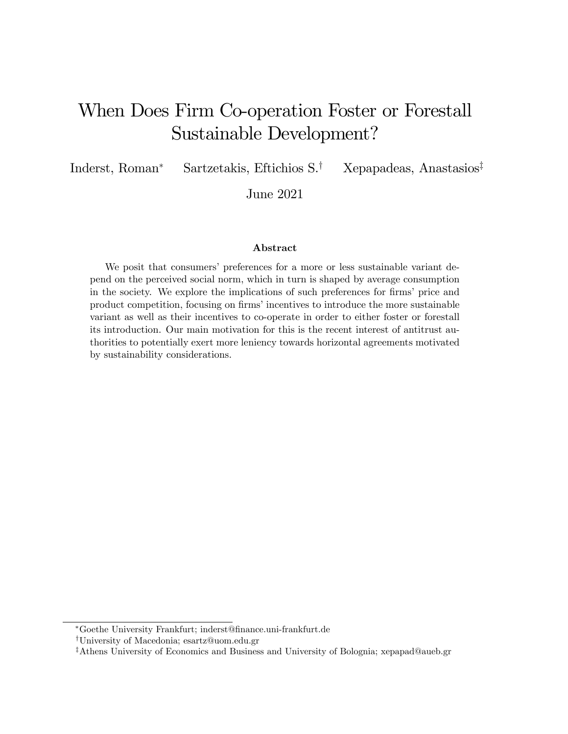# When Does Firm Co-operation Foster or Forestall Sustainable Development?

Inderst, Roman<sup>\*</sup> Sartzetakis, Eftichios S.<sup>†</sup> Xepapadeas, Anastasios<sup>‡</sup>

June 2021

#### Abstract

We posit that consumers' preferences for a more or less sustainable variant depend on the perceived social norm, which in turn is shaped by average consumption in the society. We explore the implications of such preferences for firms' price and product competition, focusing on firms' incentives to introduce the more sustainable variant as well as their incentives to co-operate in order to either foster or forestall its introduction. Our main motivation for this is the recent interest of antitrust authorities to potentially exert more leniency towards horizontal agreements motivated by sustainability considerations.

Goethe University Frankfurt; inderst@Önance.uni-frankfurt.de

<sup>y</sup>University of Macedonia; esartz@uom.edu.gr

<sup>&</sup>lt;sup>‡</sup>Athens University of Economics and Business and University of Bolognia; xepapad@aueb.gr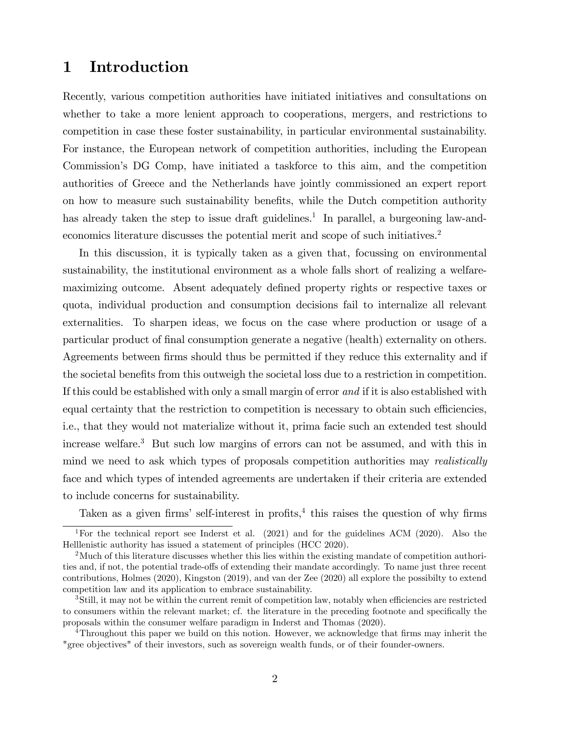### 1 Introduction

Recently, various competition authorities have initiated initiatives and consultations on whether to take a more lenient approach to cooperations, mergers, and restrictions to competition in case these foster sustainability, in particular environmental sustainability. For instance, the European network of competition authorities, including the European Commission's DG Comp, have initiated a taskforce to this aim, and the competition authorities of Greece and the Netherlands have jointly commissioned an expert report on how to measure such sustainability benefits, while the Dutch competition authority has already taken the step to issue draft guidelines.<sup>1</sup> In parallel, a burgeoning law-andeconomics literature discusses the potential merit and scope of such initiatives.<sup>2</sup>

In this discussion, it is typically taken as a given that, focussing on environmental sustainability, the institutional environment as a whole falls short of realizing a welfaremaximizing outcome. Absent adequately defined property rights or respective taxes or quota, individual production and consumption decisions fail to internalize all relevant externalities. To sharpen ideas, we focus on the case where production or usage of a particular product of Önal consumption generate a negative (health) externality on others. Agreements between firms should thus be permitted if they reduce this externality and if the societal benefits from this outweigh the societal loss due to a restriction in competition. If this could be established with only a small margin of error and if it is also established with equal certainty that the restriction to competition is necessary to obtain such efficiencies, i.e., that they would not materialize without it, prima facie such an extended test should increase welfare.<sup>3</sup> But such low margins of errors can not be assumed, and with this in mind we need to ask which types of proposals competition authorities may *realistically* face and which types of intended agreements are undertaken if their criteria are extended to include concerns for sustainability.

Taken as a given firms' self-interest in profits, $4$  this raises the question of why firms

<sup>4</sup>Throughout this paper we build on this notion. However, we acknowledge that firms may inherit the "gree objectives" of their investors, such as sovereign wealth funds, or of their founder-owners.

<sup>&</sup>lt;sup>1</sup>For the technical report see Inderst et al. (2021) and for the guidelines ACM (2020). Also the Helllenistic authority has issued a statement of principles (HCC 2020).

<sup>&</sup>lt;sup>2</sup>Much of this literature discusses whether this lies within the existing mandate of competition authorities and, if not, the potential trade-offs of extending their mandate accordingly. To name just three recent contributions, Holmes (2020), Kingston (2019), and van der Zee (2020) all explore the possibilty to extend competition law and its application to embrace sustainability.

<sup>&</sup>lt;sup>3</sup>Still, it may not be within the current remit of competition law, notably when efficiencies are restricted to consumers within the relevant market; cf. the literature in the preceding footnote and specifically the proposals within the consumer welfare paradigm in Inderst and Thomas (2020).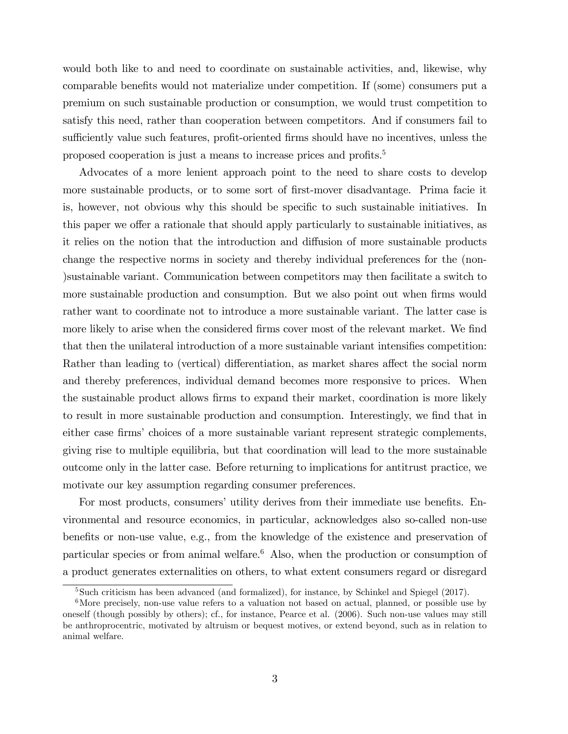would both like to and need to coordinate on sustainable activities, and, likewise, why comparable benefits would not materialize under competition. If (some) consumers put a premium on such sustainable production or consumption, we would trust competition to satisfy this need, rather than cooperation between competitors. And if consumers fail to sufficiently value such features, profit-oriented firms should have no incentives, unless the proposed cooperation is just a means to increase prices and profits.<sup>5</sup>

Advocates of a more lenient approach point to the need to share costs to develop more sustainable products, or to some sort of first-mover disadvantage. Prima facie it is, however, not obvious why this should be specific to such sustainable initiatives. In this paper we offer a rationale that should apply particularly to sustainable initiatives, as it relies on the notion that the introduction and diffusion of more sustainable products change the respective norms in society and thereby individual preferences for the (non- )sustainable variant. Communication between competitors may then facilitate a switch to more sustainable production and consumption. But we also point out when firms would rather want to coordinate not to introduce a more sustainable variant. The latter case is more likely to arise when the considered firms cover most of the relevant market. We find that then the unilateral introduction of a more sustainable variant intensifies competition: Rather than leading to (vertical) differentiation, as market shares affect the social norm and thereby preferences, individual demand becomes more responsive to prices. When the sustainable product allows Örms to expand their market, coordination is more likely to result in more sustainable production and consumption. Interestingly, we find that in either case firms' choices of a more sustainable variant represent strategic complements, giving rise to multiple equilibria, but that coordination will lead to the more sustainable outcome only in the latter case. Before returning to implications for antitrust practice, we motivate our key assumption regarding consumer preferences.

For most products, consumers' utility derives from their immediate use benefits. Environmental and resource economics, in particular, acknowledges also so-called non-use benefits or non-use value, e.g., from the knowledge of the existence and preservation of particular species or from animal welfare.<sup>6</sup> Also, when the production or consumption of a product generates externalities on others, to what extent consumers regard or disregard

 ${}^{5}$ Such criticism has been advanced (and formalized), for instance, by Schinkel and Spiegel (2017).

<sup>&</sup>lt;sup>6</sup>More precisely, non-use value refers to a valuation not based on actual, planned, or possible use by oneself (though possibly by others); cf., for instance, Pearce et al. (2006). Such non-use values may still be anthroprocentric, motivated by altruism or bequest motives, or extend beyond, such as in relation to animal welfare.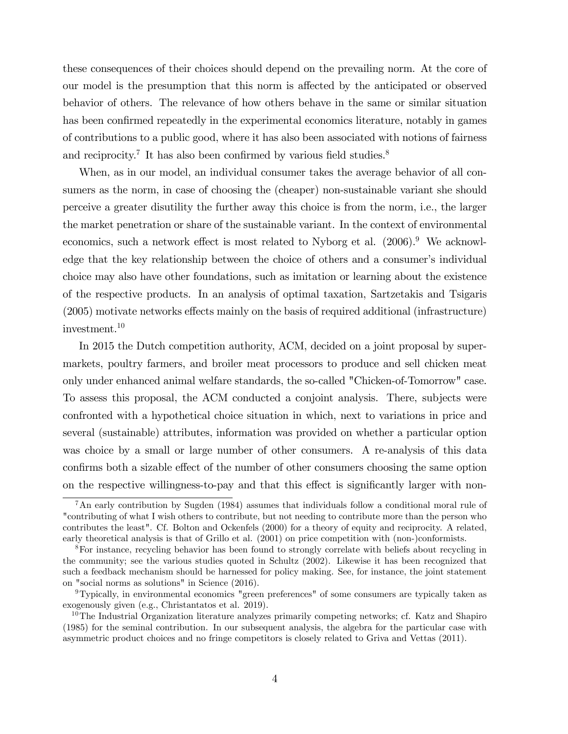these consequences of their choices should depend on the prevailing norm. At the core of our model is the presumption that this norm is affected by the anticipated or observed behavior of others. The relevance of how others behave in the same or similar situation has been confirmed repeatedly in the experimental economics literature, notably in games of contributions to a public good, where it has also been associated with notions of fairness and reciprocity.<sup>7</sup> It has also been confirmed by various field studies.<sup>8</sup>

When, as in our model, an individual consumer takes the average behavior of all consumers as the norm, in case of choosing the (cheaper) non-sustainable variant she should perceive a greater disutility the further away this choice is from the norm, i.e., the larger the market penetration or share of the sustainable variant. In the context of environmental economics, such a network effect is most related to Nyborg et al.  $(2006)$ .<sup>9</sup> We acknowledge that the key relationship between the choice of others and a consumer's individual choice may also have other foundations, such as imitation or learning about the existence of the respective products. In an analysis of optimal taxation, Sartzetakis and Tsigaris  $(2005)$  motivate networks effects mainly on the basis of required additional (infrastructure) investment.<sup>10</sup>

In 2015 the Dutch competition authority, ACM, decided on a joint proposal by supermarkets, poultry farmers, and broiler meat processors to produce and sell chicken meat only under enhanced animal welfare standards, the so-called "Chicken-of-Tomorrow" case. To assess this proposal, the ACM conducted a conjoint analysis. There, subjects were confronted with a hypothetical choice situation in which, next to variations in price and several (sustainable) attributes, information was provided on whether a particular option was choice by a small or large number of other consumers. A re-analysis of this data confirms both a sizable effect of the number of other consumers choosing the same option on the respective willingness-to-pay and that this effect is significantly larger with non-

<sup>&</sup>lt;sup>7</sup>An early contribution by Sugden (1984) assumes that individuals follow a conditional moral rule of "contributing of what I wish others to contribute, but not needing to contribute more than the person who contributes the least". Cf. Bolton and Ockenfels (2000) for a theory of equity and reciprocity. A related, early theoretical analysis is that of Grillo et al. (2001) on price competition with (non-)conformists.

<sup>8</sup>For instance, recycling behavior has been found to strongly correlate with beliefs about recycling in the community; see the various studies quoted in Schultz (2002). Likewise it has been recognized that such a feedback mechanism should be harnessed for policy making. See, for instance, the joint statement on "social norms as solutions" in Science (2016).

<sup>9</sup>Typically, in environmental economics "green preferences" of some consumers are typically taken as exogenously given (e.g., Christantatos et al. 2019).

 $10$ The Industrial Organization literature analyzes primarily competing networks; cf. Katz and Shapiro (1985) for the seminal contribution. In our subsequent analysis, the algebra for the particular case with asymmetric product choices and no fringe competitors is closely related to Griva and Vettas (2011).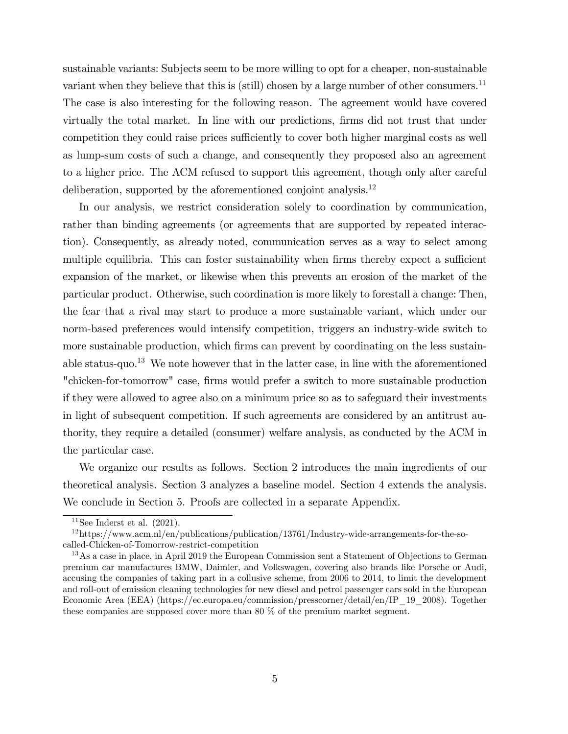sustainable variants: Subjects seem to be more willing to opt for a cheaper, non-sustainable variant when they believe that this is (still) chosen by a large number of other consumers.<sup>11</sup> The case is also interesting for the following reason. The agreement would have covered virtually the total market. In line with our predictions, firms did not trust that under competition they could raise prices sufficiently to cover both higher marginal costs as well as lump-sum costs of such a change, and consequently they proposed also an agreement to a higher price. The ACM refused to support this agreement, though only after careful deliberation, supported by the aforementioned conjoint analysis.<sup>12</sup>

In our analysis, we restrict consideration solely to coordination by communication, rather than binding agreements (or agreements that are supported by repeated interaction). Consequently, as already noted, communication serves as a way to select among multiple equilibria. This can foster sustainability when firms thereby expect a sufficient expansion of the market, or likewise when this prevents an erosion of the market of the particular product. Otherwise, such coordination is more likely to forestall a change: Then, the fear that a rival may start to produce a more sustainable variant, which under our norm-based preferences would intensify competition, triggers an industry-wide switch to more sustainable production, which firms can prevent by coordinating on the less sustainable status-quo.<sup>13</sup> We note however that in the latter case, in line with the aforementioned "chicken-for-tomorrow" case, firms would prefer a switch to more sustainable production if they were allowed to agree also on a minimum price so as to safeguard their investments in light of subsequent competition. If such agreements are considered by an antitrust authority, they require a detailed (consumer) welfare analysis, as conducted by the ACM in the particular case.

We organize our results as follows. Section 2 introduces the main ingredients of our theoretical analysis. Section 3 analyzes a baseline model. Section 4 extends the analysis. We conclude in Section 5. Proofs are collected in a separate Appendix.

 $11$ See Inderst et al.  $(2021)$ .

 $12$ https://www.acm.nl/en/publications/publication/13761/Industry-wide-arrangements-for-the-socalled-Chicken-of-Tomorrow-restrict-competition

<sup>13</sup>As a case in place, in April 2019 the European Commission sent a Statement of Objections to German premium car manufactures BMW, Daimler, and Volkswagen, covering also brands like Porsche or Audi, accusing the companies of taking part in a collusive scheme, from 2006 to 2014, to limit the development and roll-out of emission cleaning technologies for new diesel and petrol passenger cars sold in the European Economic Area (EEA) (https://ec.europa.eu/commission/presscorner/detail/en/IP\_19\_2008). Together these companies are supposed cover more than 80 % of the premium market segment.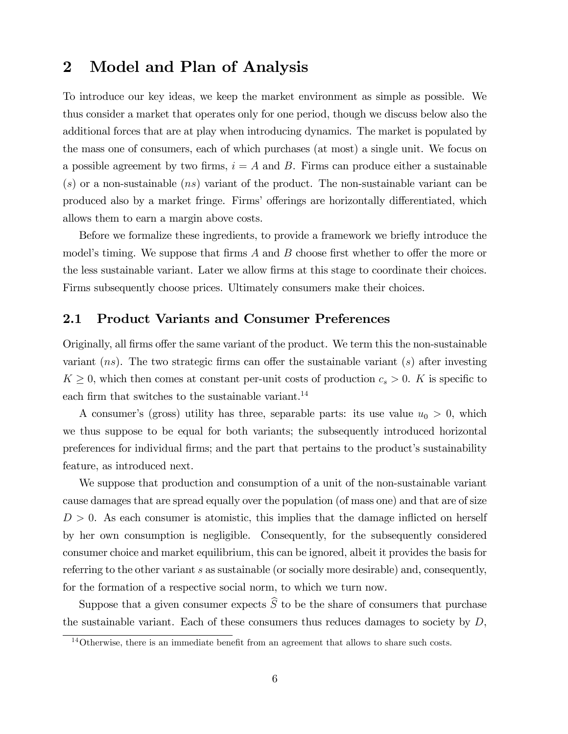### 2 Model and Plan of Analysis

To introduce our key ideas, we keep the market environment as simple as possible. We thus consider a market that operates only for one period, though we discuss below also the additional forces that are at play when introducing dynamics. The market is populated by the mass one of consumers, each of which purchases (at most) a single unit. We focus on a possible agreement by two firms,  $i = A$  and B. Firms can produce either a sustainable  $(s)$  or a non-sustainable  $(ns)$  variant of the product. The non-sustainable variant can be produced also by a market fringe. Firms' offerings are horizontally differentiated, which allows them to earn a margin above costs.

Before we formalize these ingredients, to provide a framework we briefly introduce the model's timing. We suppose that firms  $A$  and  $B$  choose first whether to offer the more or the less sustainable variant. Later we allow Örms at this stage to coordinate their choices. Firms subsequently choose prices. Ultimately consumers make their choices.

#### 2.1 Product Variants and Consumer Preferences

Originally, all firms offer the same variant of the product. We term this the non-sustainable variant  $(ns)$ . The two strategic firms can offer the sustainable variant  $(s)$  after investing  $K \geq 0$ , which then comes at constant per-unit costs of production  $c_s > 0$ . K is specific to each firm that switches to the sustainable variant.<sup>14</sup>

A consumer's (gross) utility has three, separable parts: its use value  $u_0 > 0$ , which we thus suppose to be equal for both variants; the subsequently introduced horizontal preferences for individual firms; and the part that pertains to the product's sustainability feature, as introduced next.

We suppose that production and consumption of a unit of the non-sustainable variant cause damages that are spread equally over the population (of mass one) and that are of size  $D > 0$ . As each consumer is atomistic, this implies that the damage inflicted on herself by her own consumption is negligible. Consequently, for the subsequently considered consumer choice and market equilibrium, this can be ignored, albeit it provides the basis for referring to the other variant s as sustainable (or socially more desirable) and, consequently, for the formation of a respective social norm, to which we turn now.

Suppose that a given consumer expects  $\widehat{S}$  to be the share of consumers that purchase the sustainable variant. Each of these consumers thus reduces damages to society by  $D$ ,

 $14$ Otherwise, there is an immediate benefit from an agreement that allows to share such costs.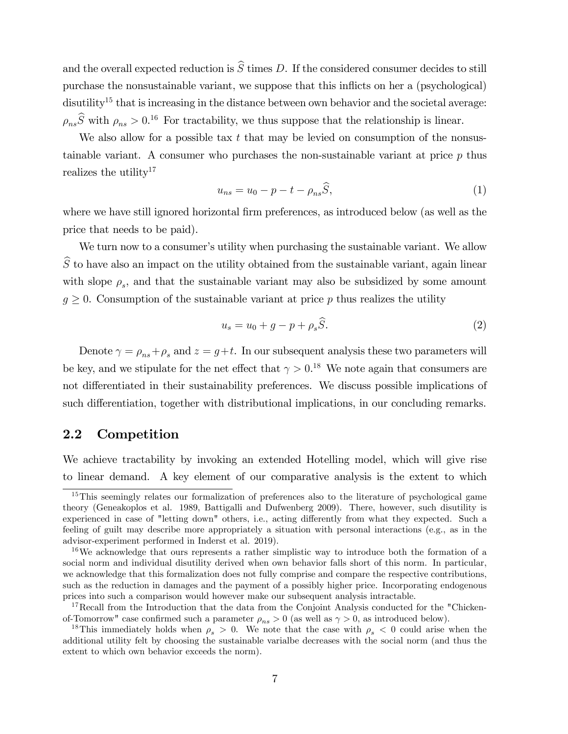and the overall expected reduction is  $\widehat{S}$  times D. If the considered consumer decides to still purchase the nonsustainable variant, we suppose that this inflicts on her a (psychological) disutility<sup>15</sup> that is increasing in the distance between own behavior and the societal average:  $\rho_{ns}\hat{S}$  with  $\rho_{ns} > 0.16$  For tractability, we thus suppose that the relationship is linear.

We also allow for a possible tax  $t$  that may be levied on consumption of the nonsustainable variant. A consumer who purchases the non-sustainable variant at price  $p$  thus realizes the utility<sup>17</sup>

$$
u_{ns} = u_0 - p - t - \rho_{ns}\widehat{S},\tag{1}
$$

where we have still ignored horizontal firm preferences, as introduced below (as well as the price that needs to be paid).

We turn now to a consumer's utility when purchasing the sustainable variant. We allow  $\widehat{S}$  to have also an impact on the utility obtained from the sustainable variant, again linear with slope  $\rho_s$ , and that the sustainable variant may also be subsidized by some amount  $g \geq 0$ . Consumption of the sustainable variant at price p thus realizes the utility

$$
u_s = u_0 + g - p + \rho_s \hat{S}.\tag{2}
$$

Denote  $\gamma = \rho_{ns} + \rho_s$  and  $z = g + t$ . In our subsequent analysis these two parameters will be key, and we stipulate for the net effect that  $\gamma > 0$ .<sup>18</sup> We note again that consumers are not differentiated in their sustainability preferences. We discuss possible implications of such differentiation, together with distributional implications, in our concluding remarks.

### 2.2 Competition

We achieve tractability by invoking an extended Hotelling model, which will give rise to linear demand. A key element of our comparative analysis is the extent to which

<sup>&</sup>lt;sup>15</sup>This seemingly relates our formalization of preferences also to the literature of psychological game theory (Geneakoplos et al. 1989, Battigalli and Dufwenberg 2009). There, however, such disutility is experienced in case of "letting down" others, i.e., acting differently from what they expected. Such a feeling of guilt may describe more appropriately a situation with personal interactions (e.g., as in the advisor-experiment performed in Inderst et al. 2019).

<sup>&</sup>lt;sup>16</sup>We acknowledge that ours represents a rather simplistic way to introduce both the formation of a social norm and individual disutility derived when own behavior falls short of this norm. In particular, we acknowledge that this formalization does not fully comprise and compare the respective contributions, such as the reduction in damages and the payment of a possibly higher price. Incorporating endogenous prices into such a comparison would however make our subsequent analysis intractable.

<sup>&</sup>lt;sup>17</sup>Recall from the Introduction that the data from the Conjoint Analysis conducted for the "Chickenof-Tomorrow" case confirmed such a parameter  $\rho_{ns} > 0$  (as well as  $\gamma > 0$ , as introduced below).

<sup>&</sup>lt;sup>18</sup>This immediately holds when  $\rho_s > 0$ . We note that the case with  $\rho_s < 0$  could arise when the additional utility felt by choosing the sustainable varialbe decreases with the social norm (and thus the extent to which own behavior exceeds the norm).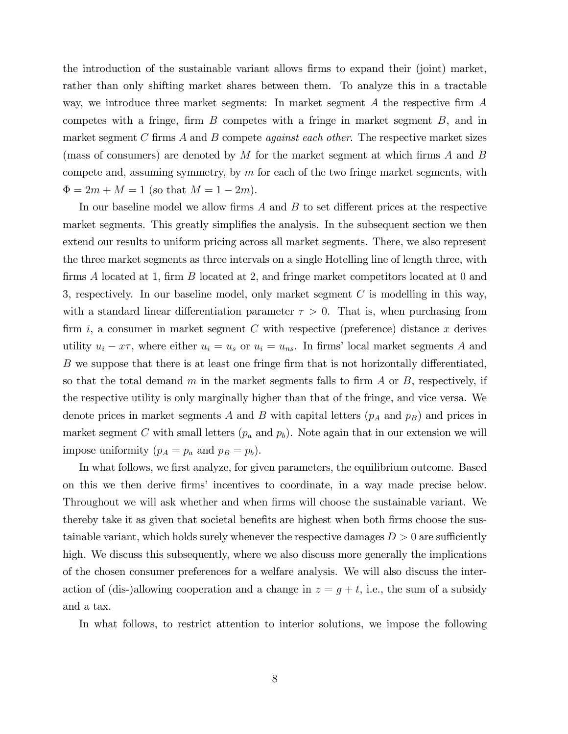the introduction of the sustainable variant allows Örms to expand their (joint) market, rather than only shifting market shares between them. To analyze this in a tractable way, we introduce three market segments: In market segment  $A$  the respective firm  $A$ competes with a fringe, firm  $B$  competes with a fringe in market segment  $B$ , and in market segment C firms  $A$  and  $B$  compete *against each other*. The respective market sizes (mass of consumers) are denoted by  $M$  for the market segment at which firms  $A$  and  $B$ compete and, assuming symmetry, by  $m$  for each of the two fringe market segments, with  $\Phi = 2m + M = 1$  (so that  $M = 1 - 2m$ ).

In our baseline model we allow firms  $A$  and  $B$  to set different prices at the respective market segments. This greatly simplifies the analysis. In the subsequent section we then extend our results to uniform pricing across all market segments. There, we also represent the three market segments as three intervals on a single Hotelling line of length three, with firms  $\tilde{A}$  located at 1, firm  $B$  located at 2, and fringe market competitors located at 0 and 3, respectively. In our baseline model, only market segment  $C$  is modelling in this way, with a standard linear differentiation parameter  $\tau > 0$ . That is, when purchasing from firm i, a consumer in market segment C with respective (preference) distance x derives utility  $u_i - x\tau$ , where either  $u_i = u_s$  or  $u_i = u_{ns}$ . In firms' local market segments A and B we suppose that there is at least one fringe firm that is not horizontally differentiated, so that the total demand m in the market segments falls to firm  $A$  or  $B$ , respectively, if the respective utility is only marginally higher than that of the fringe, and vice versa. We denote prices in market segments A and B with capital letters  $(p_A \text{ and } p_B)$  and prices in market segment C with small letters  $(p_a \text{ and } p_b)$ . Note again that in our extension we will impose uniformity  $(p_A = p_a \text{ and } p_B = p_b).$ 

In what follows, we first analyze, for given parameters, the equilibrium outcome. Based on this we then derive Örmsí incentives to coordinate, in a way made precise below. Throughout we will ask whether and when firms will choose the sustainable variant. We thereby take it as given that societal benefits are highest when both firms choose the sustainable variant, which holds surely whenever the respective damages  $D > 0$  are sufficiently high. We discuss this subsequently, where we also discuss more generally the implications of the chosen consumer preferences for a welfare analysis. We will also discuss the interaction of (dis-)allowing cooperation and a change in  $z = g + t$ , i.e., the sum of a subsidy and a tax.

In what follows, to restrict attention to interior solutions, we impose the following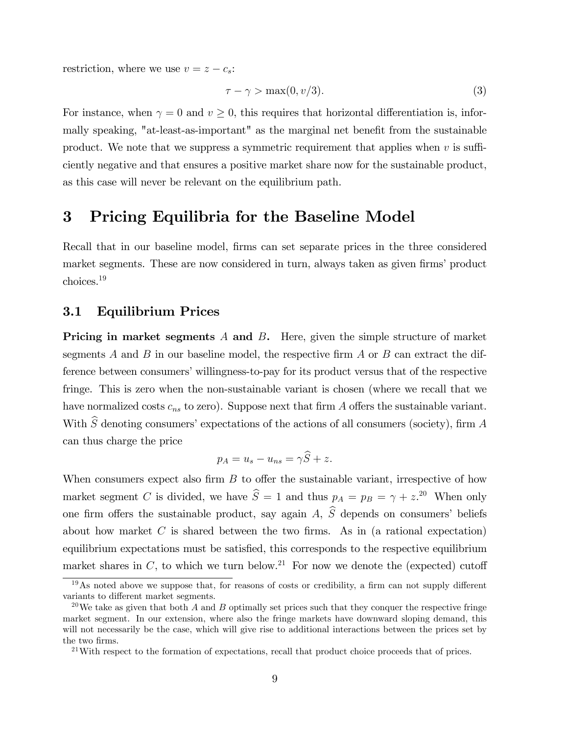restriction, where we use  $v = z - c_s$ :

$$
\tau - \gamma > \max(0, v/3). \tag{3}
$$

For instance, when  $\gamma = 0$  and  $v > 0$ , this requires that horizontal differentiation is, informally speaking, "at-least-as-important" as the marginal net benefit from the sustainable product. We note that we suppress a symmetric requirement that applies when  $v$  is sufficiently negative and that ensures a positive market share now for the sustainable product, as this case will never be relevant on the equilibrium path.

### 3 Pricing Equilibria for the Baseline Model

Recall that in our baseline model, firms can set separate prices in the three considered market segments. These are now considered in turn, always taken as given firms' product choices.<sup>19</sup>

#### 3.1 Equilibrium Prices

**Pricing in market segments A and B.** Here, given the simple structure of market segments A and B in our baseline model, the respective firm A or B can extract the difference between consumers' willingness-to-pay for its product versus that of the respective fringe. This is zero when the non-sustainable variant is chosen (where we recall that we have normalized costs  $c_{ns}$  to zero). Suppose next that firm A offers the sustainable variant. With  $\widehat{S}$  denoting consumers' expectations of the actions of all consumers (society), firm A can thus charge the price

$$
p_A = u_s - u_{ns} = \gamma \widehat{S} + z.
$$

When consumers expect also firm  $B$  to offer the sustainable variant, irrespective of how market segment C is divided, we have  $\hat{S} = 1$  and thus  $p_A = p_B = \gamma + z^{20}$  When only one firm offers the sustainable product, say again A,  $\hat{S}$  depends on consumers' beliefs about how market  $C$  is shared between the two firms. As in (a rational expectation) equilibrium expectations must be satisfied, this corresponds to the respective equilibrium market shares in C, to which we turn below.<sup>21</sup> For now we denote the (expected) cutoff

 $19\text{As}$  noted above we suppose that, for reasons of costs or credibility, a firm can not supply different variants to different market segments.

<sup>&</sup>lt;sup>20</sup>We take as given that both A and B optimally set prices such that they conquer the respective fringe market segment. In our extension, where also the fringe markets have downward sloping demand, this will not necessarily be the case, which will give rise to additional interactions between the prices set by the two firms.

 $^{21}$ With respect to the formation of expectations, recall that product choice proceeds that of prices.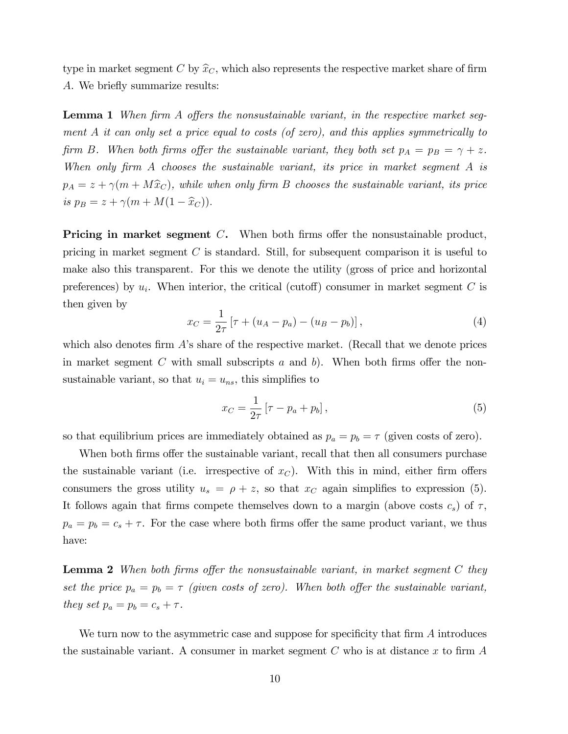type in market segment C by  $\hat{x}_C$ , which also represents the respective market share of firm A. We briefly summarize results:

**Lemma 1** When firm A offers the nonsustainable variant, in the respective market segment A it can only set a price equal to costs (of zero), and this applies symmetrically to firm B. When both firms offer the sustainable variant, they both set  $p_A = p_B = \gamma + z$ . When only firm  $A$  chooses the sustainable variant, its price in market segment  $A$  is  $p_A = z + \gamma(m + M\hat{x}_C)$ , while when only firm B chooses the sustainable variant, its price is  $p_B = z + \gamma(m + M(1 - \hat{x}_C)).$ 

**Pricing in market segment C.** When both firms offer the nonsustainable product, pricing in market segment C is standard. Still, for subsequent comparison it is useful to make also this transparent. For this we denote the utility (gross of price and horizontal preferences) by  $u_i$ . When interior, the critical (cutoff) consumer in market segment C is then given by

$$
x_C = \frac{1}{2\tau} \left[ \tau + (u_A - p_a) - (u_B - p_b) \right],
$$
 (4)

which also denotes firm  $\hat{A}$ 's share of the respective market. (Recall that we denote prices in market segment  $C$  with small subscripts  $a$  and  $b$ ). When both firms offer the nonsustainable variant, so that  $u_i = u_{ns}$ , this simplifies to

$$
x_C = \frac{1}{2\tau} \left[ \tau - p_a + p_b \right],\tag{5}
$$

so that equilibrium prices are immediately obtained as  $p_a = p_b = \tau$  (given costs of zero).

When both firms offer the sustainable variant, recall that then all consumers purchase the sustainable variant (i.e. irrespective of  $x<sub>C</sub>$ ). With this in mind, either firm offers consumers the gross utility  $u_s = \rho + z$ , so that  $x_C$  again simplifies to expression (5). It follows again that firms compete themselves down to a margin (above costs  $c_s$ ) of  $\tau$ ,  $p_a = p_b = c_s + \tau$ . For the case where both firms offer the same product variant, we thus have:

**Lemma 2** When both firms offer the nonsustainable variant, in market segment  $C$  they set the price  $p_a = p_b = \tau$  (given costs of zero). When both offer the sustainable variant, they set  $p_a = p_b = c_s + \tau$ .

We turn now to the asymmetric case and suppose for specificity that firm  $A$  introduces the sustainable variant. A consumer in market segment  $C$  who is at distance  $x$  to firm  $A$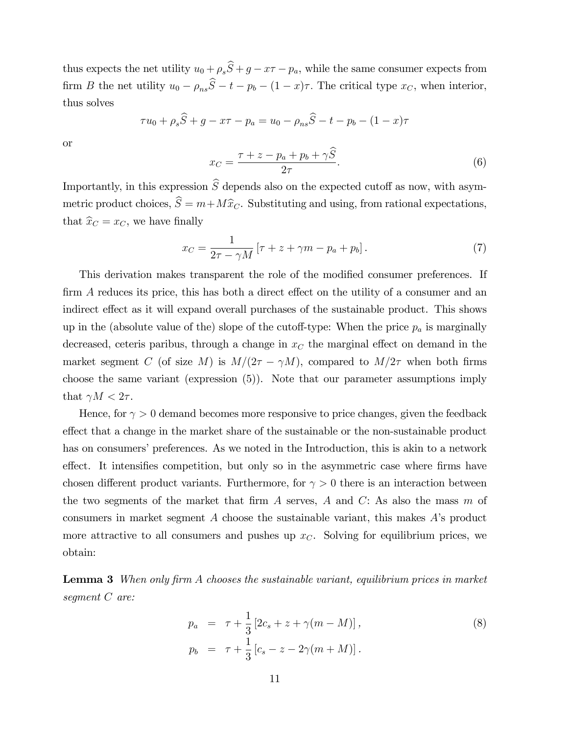thus expects the net utility  $u_0 + \rho_s \widehat{S} + g - x\tau - p_a$ , while the same consumer expects from firm B the net utility  $u_0 - \rho_{ns}\hat{S} - t - p_b - (1 - x)\tau$ . The critical type  $x_C$ , when interior, thus solves

$$
\tau u_0 + \rho_s \hat{S} + g - x\tau - p_a = u_0 - \rho_{ns} \hat{S} - t - p_b - (1 - x)\tau
$$

or

$$
x_C = \frac{\tau + z - p_a + p_b + \gamma \hat{S}}{2\tau}.
$$
\n<sup>(6)</sup>

Importantly, in this expression  $\hat{S}$  depends also on the expected cutoff as now, with asymmetric product choices,  $\hat{S} = m + M\hat{x}_C$ . Substituting and using, from rational expectations, that  $\hat{x}_C = x_C$ , we have finally

$$
x_C = \frac{1}{2\tau - \gamma M} \left[ \tau + z + \gamma m - p_a + p_b \right]. \tag{7}
$$

This derivation makes transparent the role of the modified consumer preferences. If  $\dim A$  reduces its price, this has both a direct effect on the utility of a consumer and an indirect effect as it will expand overall purchases of the sustainable product. This shows up in the (absolute value of the) slope of the cutoff-type: When the price  $p_a$  is marginally decreased, ceteris paribus, through a change in  $x<sub>C</sub>$  the marginal effect on demand in the market segment C (of size M) is  $M/(2\tau - \gamma M)$ , compared to  $M/2\tau$  when both firms choose the same variant (expression (5)). Note that our parameter assumptions imply that  $\gamma M < 2\tau$ .

Hence, for  $\gamma > 0$  demand becomes more responsive to price changes, given the feedback effect that a change in the market share of the sustainable or the non-sustainable product has on consumers' preferences. As we noted in the Introduction, this is akin to a network effect. It intensifies competition, but only so in the asymmetric case where firms have chosen different product variants. Furthermore, for  $\gamma > 0$  there is an interaction between the two segments of the market that firm A serves, A and C: As also the mass  $m$  of consumers in market segment A choose the sustainable variant, this makes  $A$ 's product more attractive to all consumers and pushes up  $x<sub>C</sub>$ . Solving for equilibrium prices, we obtain:

**Lemma 3** When only firm A chooses the sustainable variant, equilibrium prices in market segment C are:

$$
p_a = \tau + \frac{1}{3} [2c_s + z + \gamma(m - M)],
$$
  
\n
$$
p_b = \tau + \frac{1}{3} [c_s - z - 2\gamma(m + M)].
$$
\n(8)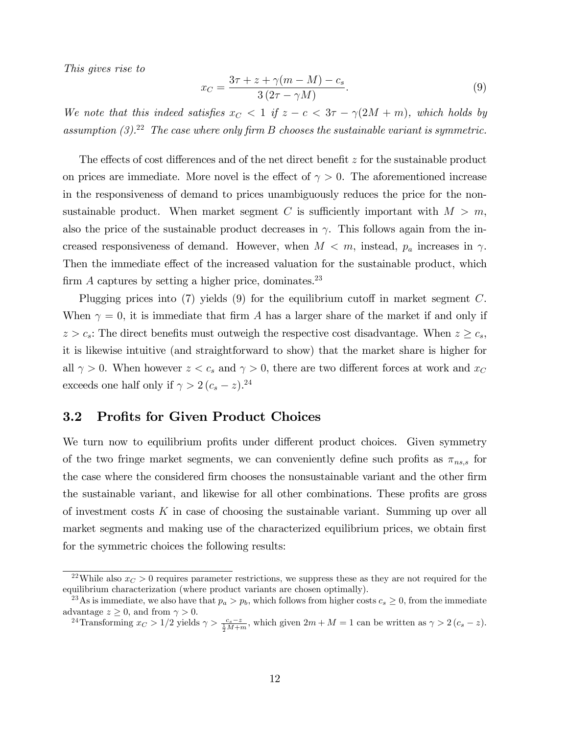This gives rise to

$$
x_C = \frac{3\tau + z + \gamma(m - M) - c_s}{3(2\tau - \gamma M)}.
$$
\n(9)

We note that this indeed satisfies  $x_C < 1$  if  $z - c < 3\tau - \gamma(2M + m)$ , which holds by assumption  $(3)^{22}$ . The case where only firm B chooses the sustainable variant is symmetric.

The effects of cost differences and of the net direct benefit  $z$  for the sustainable product on prices are immediate. More novel is the effect of  $\gamma > 0$ . The aforementioned increase in the responsiveness of demand to prices unambiguously reduces the price for the nonsustainable product. When market segment C is sufficiently important with  $M > m$ , also the price of the sustainable product decreases in  $\gamma$ . This follows again from the increased responsiveness of demand. However, when  $M < m$ , instead,  $p_a$  increases in  $\gamma$ . Then the immediate effect of the increased valuation for the sustainable product, which firm A captures by setting a higher price, dominates.<sup>23</sup>

Plugging prices into  $(7)$  yields  $(9)$  for the equilibrium cutoff in market segment C. When  $\gamma = 0$ , it is immediate that firm A has a larger share of the market if and only if  $z > c_s$ : The direct benefits must outweigh the respective cost disadvantage. When  $z \geq c_s$ , it is likewise intuitive (and straightforward to show) that the market share is higher for all  $\gamma > 0$ . When however  $z < c_s$  and  $\gamma > 0$ , there are two different forces at work and  $x_C$ exceeds one half only if  $\gamma > 2 (c_s - z)$ .<sup>24</sup>

#### 3.2 Profits for Given Product Choices

We turn now to equilibrium profits under different product choices. Given symmetry of the two fringe market segments, we can conveniently define such profits as  $\pi_{ns,s}$  for the case where the considered firm chooses the nonsustainable variant and the other firm the sustainable variant, and likewise for all other combinations. These profits are gross of investment costs  $K$  in case of choosing the sustainable variant. Summing up over all market segments and making use of the characterized equilibrium prices, we obtain first for the symmetric choices the following results:

<sup>&</sup>lt;sup>22</sup>While also  $x_c > 0$  requires parameter restrictions, we suppress these as they are not required for the equilibrium characterization (where product variants are chosen optimally).

<sup>&</sup>lt;sup>23</sup>As is immediate, we also have that  $p_a > p_b$ , which follows from higher costs  $c_s \geq 0$ , from the immediate advantage  $z \geq 0$ , and from  $\gamma > 0$ .

<sup>&</sup>lt;sup>24</sup>Transforming  $x_C > 1/2$  yields  $\gamma > \frac{c_s - z}{\frac{1}{2}M + m}$ , which given  $2m + M = 1$  can be written as  $\gamma > 2$   $(c_s - z)$ .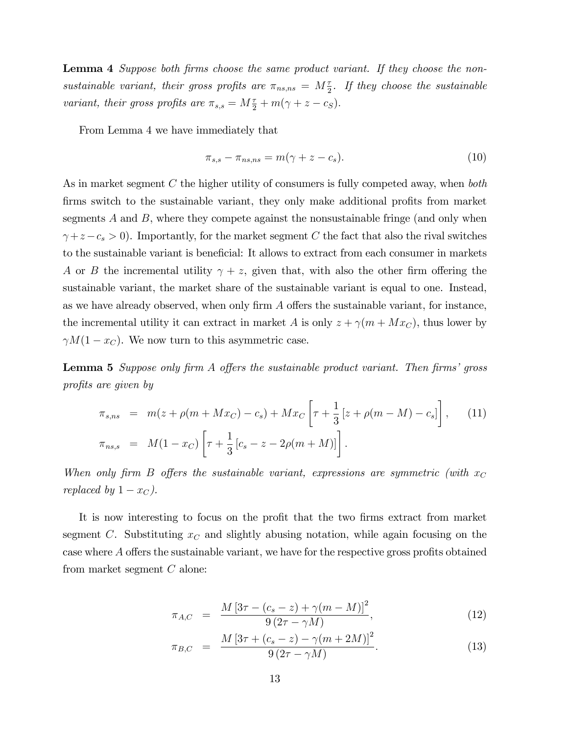**Lemma 4** Suppose both firms choose the same product variant. If they choose the nonsustainable variant, their gross profits are  $\pi_{ns,ns} = M\frac{\tau}{2}$ . If they choose the sustainable variant, their gross profits are  $\pi_{s,s} = M\frac{\tau}{2} + m(\gamma + z - c_S)$ .

From Lemma 4 we have immediately that

$$
\pi_{s,s} - \pi_{ns,ns} = m(\gamma + z - c_s). \tag{10}
$$

As in market segment C the higher utility of consumers is fully competed away, when both firms switch to the sustainable variant, they only make additional profits from market segments  $A$  and  $B$ , where they compete against the nonsustainable fringe (and only when  $\gamma + z - c_s > 0$ ). Importantly, for the market segment C the fact that also the rival switches to the sustainable variant is beneficial: It allows to extract from each consumer in markets A or B the incremental utility  $\gamma + z$ , given that, with also the other firm offering the sustainable variant, the market share of the sustainable variant is equal to one. Instead, as we have already observed, when only firm  $A$  offers the sustainable variant, for instance, the incremental utility it can extract in market A is only  $z + \gamma(m + Mx_C)$ , thus lower by  $\gamma M(1 - x_C)$ . We now turn to this asymmetric case.

**Lemma 5** Suppose only firm  $A$  offers the sustainable product variant. Then firms' gross profits are given by

$$
\pi_{s,ns} = m(z + \rho(m + Mx_C) - c_s) + Mx_C \left[ \tau + \frac{1}{3} \left[ z + \rho(m - M) - c_s \right] \right], \quad (11)
$$
  

$$
\pi_{ns,s} = M(1 - x_C) \left[ \tau + \frac{1}{3} \left[ c_s - z - 2\rho(m + M) \right] \right].
$$

When only firm B offers the sustainable variant, expressions are symmetric (with  $x_C$ replaced by  $1 - x_C$ ).

It is now interesting to focus on the profit that the two firms extract from market segment C. Substituting  $x<sub>C</sub>$  and slightly abusing notation, while again focusing on the case where  $A$  offers the sustainable variant, we have for the respective gross profits obtained from market segment C alone:

$$
\pi_{A,C} = \frac{M\left[3\tau - (c_s - z) + \gamma (m - M)\right]^2}{9\left(2\tau - \gamma M\right)},\tag{12}
$$

$$
\pi_{B,C} = \frac{M\left[3\tau + (c_s - z) - \gamma (m + 2M)\right]^2}{9\left(2\tau - \gamma M\right)}.
$$
\n(13)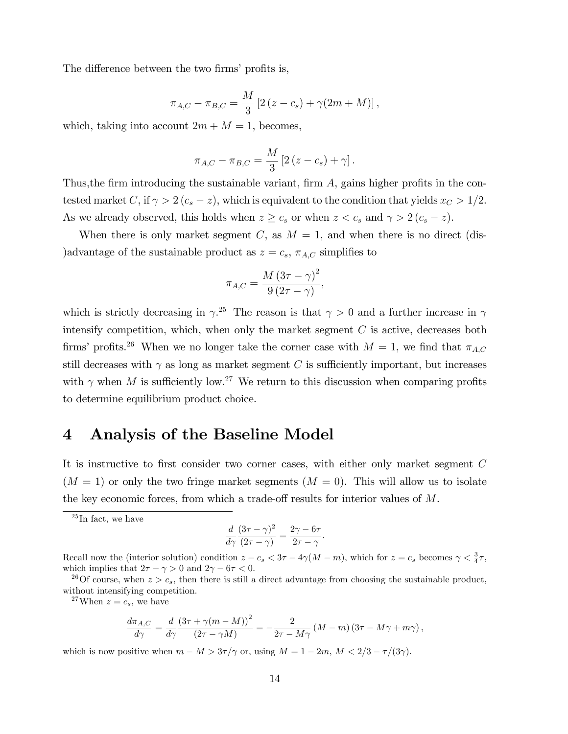The difference between the two firms' profits is,

$$
\pi_{A,C} - \pi_{B,C} = \frac{M}{3} [2(z - c_s) + \gamma(2m + M)],
$$

which, taking into account  $2m + M = 1$ , becomes,

$$
\pi_{A,C} - \pi_{B,C} = \frac{M}{3} \left[ 2 (z - c_s) + \gamma \right].
$$

Thus, the firm introducing the sustainable variant, firm  $A$ , gains higher profits in the contested market C, if  $\gamma > 2$   $(c_s - z)$ , which is equivalent to the condition that yields  $x_c > 1/2$ . As we already observed, this holds when  $z \geq c_s$  or when  $z < c_s$  and  $\gamma > 2(c_s - z)$ .

When there is only market segment C, as  $M = 1$ , and when there is no direct (dis-)advantage of the sustainable product as  $z = c_s$ ,  $\pi_{A,C}$  simplifies to

$$
\pi_{A,C} = \frac{M\left(3\tau - \gamma\right)^2}{9\left(2\tau - \gamma\right)},
$$

which is strictly decreasing in  $\gamma^{25}$ . The reason is that  $\gamma > 0$  and a further increase in  $\gamma$ intensify competition, which, when only the market segment  $C$  is active, decreases both firms' profits.<sup>26</sup> When we no longer take the corner case with  $M = 1$ , we find that  $\pi_{A,C}$ still decreases with  $\gamma$  as long as market segment C is sufficiently important, but increases with  $\gamma$  when M is sufficiently low.<sup>27</sup> We return to this discussion when comparing profits to determine equilibrium product choice.

### 4 Analysis of the Baseline Model

It is instructive to first consider two corner cases, with either only market segment  $C$  $(M = 1)$  or only the two fringe market segments  $(M = 0)$ . This will allow us to isolate the key economic forces, from which a trade-off results for interior values of  $M$ .

 $^{25}$ In fact, we have

$$
\frac{d}{d\gamma} \frac{(3\tau - \gamma)^2}{(2\tau - \gamma)} = \frac{2\gamma - 6\tau}{2\tau - \gamma}.
$$

Recall now the (interior solution) condition  $z - c_s < 3\tau - 4\gamma(M - m)$ , which for  $z = c_s$  becomes  $\gamma < \frac{3}{4}\tau$ , which implies that  $2\tau - \gamma > 0$  and  $2\gamma - 6\tau < 0$ .

<sup>26</sup>Of course, when  $z > c_s$ , then there is still a direct advantage from choosing the sustainable product, without intensifying competition.

<sup>27</sup>When  $z = c_s$ , we have

$$
\frac{d\pi_{A,C}}{d\gamma} = \frac{d}{d\gamma} \frac{\left(3\tau + \gamma(m-M)\right)^2}{\left(2\tau - \gamma M\right)} = -\frac{2}{2\tau - M\gamma} \left(M - m\right)\left(3\tau - M\gamma + m\gamma\right),\,
$$

which is now positive when  $m - M > 3\tau/\gamma$  or, using  $M = 1 - 2m$ ,  $M < 2/3 - \tau/(3\gamma)$ .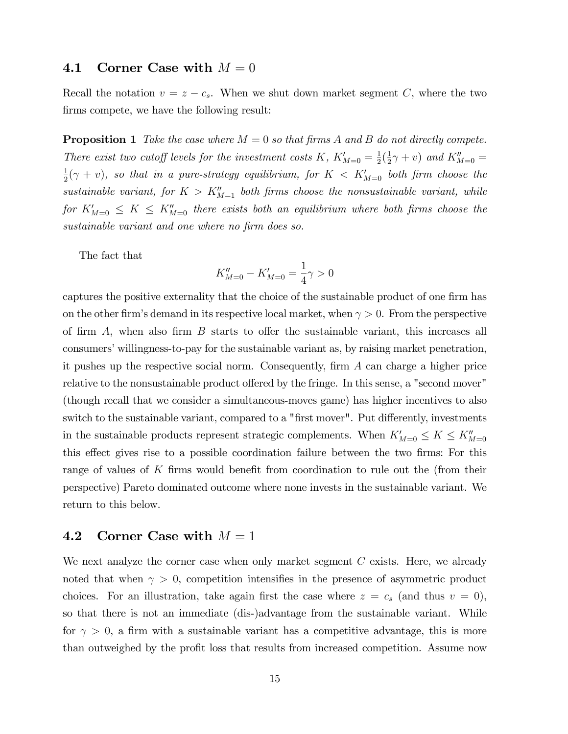#### 4.1 Corner Case with  $M = 0$

Recall the notation  $v = z - c_s$ . When we shut down market segment C, where the two firms compete, we have the following result:

**Proposition 1** Take the case where  $M = 0$  so that firms A and B do not directly compete. There exist two cutoff levels for the investment costs K,  $K'_{M=0} = \frac{1}{2}$  $\frac{1}{2}(\frac{1}{2})$  $(\frac{1}{2}\gamma + v)$  and  $K''_{M=0}$  = 1  $\frac{1}{2}(\gamma + v)$ , so that in a pure-strategy equilibrium, for  $K < K'_{M=0}$  both firm choose the sustainable variant, for  $K > K''_{M=1}$  both firms choose the nonsustainable variant, while for  $K'_{M=0} \leq K \leq K''_{M=0}$  there exists both an equilibrium where both firms choose the sustainable variant and one where no firm does so.

The fact that

$$
K''_{M=0} - K'_{M=0} = \frac{1}{4}\gamma > 0
$$

captures the positive externality that the choice of the sustainable product of one firm has on the other firm's demand in its respective local market, when  $\gamma > 0$ . From the perspective of firm  $A$ , when also firm  $B$  starts to offer the sustainable variant, this increases all consumers' willingness-to-pay for the sustainable variant as, by raising market penetration, it pushes up the respective social norm. Consequently, firm  $A$  can charge a higher price relative to the nonsustainable product offered by the fringe. In this sense, a "second mover" (though recall that we consider a simultaneous-moves game) has higher incentives to also switch to the sustainable variant, compared to a "first mover". Put differently, investments in the sustainable products represent strategic complements. When  $K'_{M=0} \leq K \leq K''_{M=0}$ this effect gives rise to a possible coordination failure between the two firms: For this range of values of  $K$  firms would benefit from coordination to rule out the (from their perspective) Pareto dominated outcome where none invests in the sustainable variant. We return to this below.

#### 4.2 Corner Case with  $M = 1$

We next analyze the corner case when only market segment  $C$  exists. Here, we already noted that when  $\gamma > 0$ , competition intensifies in the presence of asymmetric product choices. For an illustration, take again first the case where  $z = c_s$  (and thus  $v = 0$ ), so that there is not an immediate (dis-)advantage from the sustainable variant. While for  $\gamma > 0$ , a firm with a sustainable variant has a competitive advantage, this is more than outweighed by the profit loss that results from increased competition. Assume now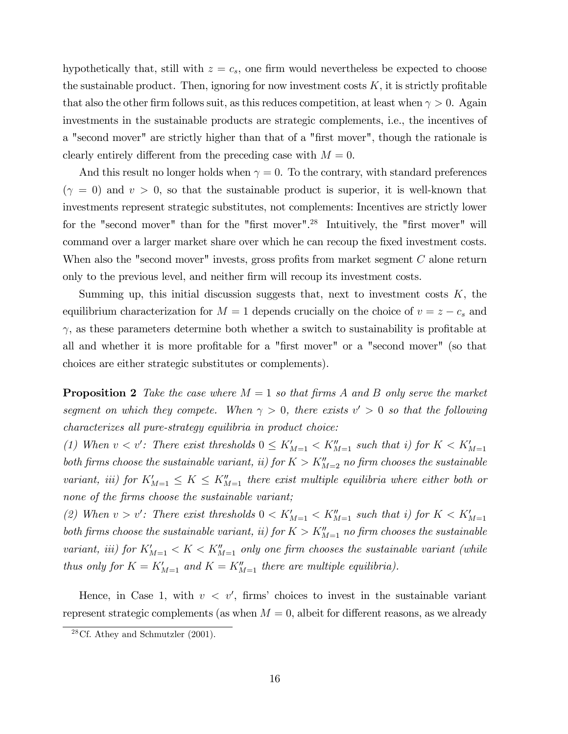hypothetically that, still with  $z = c_s$ , one firm would nevertheless be expected to choose the sustainable product. Then, ignoring for now investment costs  $K$ , it is strictly profitable that also the other firm follows suit, as this reduces competition, at least when  $\gamma > 0$ . Again investments in the sustainable products are strategic complements, i.e., the incentives of a "second mover" are strictly higher than that of a "first mover", though the rationale is clearly entirely different from the preceding case with  $M = 0$ .

And this result no longer holds when  $\gamma = 0$ . To the contrary, with standard preferences  $(\gamma = 0)$  and  $v > 0$ , so that the sustainable product is superior, it is well-known that investments represent strategic substitutes, not complements: Incentives are strictly lower for the "second mover" than for the "first mover".<sup>28</sup> Intuitively, the "first mover" will command over a larger market share over which he can recoup the fixed investment costs. When also the "second mover" invests, gross profits from market segment  $C$  alone return only to the previous level, and neither Örm will recoup its investment costs.

Summing up, this initial discussion suggests that, next to investment costs  $K$ , the equilibrium characterization for  $M = 1$  depends crucially on the choice of  $v = z - c_s$  and  $\gamma$ , as these parameters determine both whether a switch to sustainability is profitable at all and whether it is more profitable for a "first mover" or a "second mover" (so that choices are either strategic substitutes or complements).

**Proposition 2** Take the case where  $M = 1$  so that firms A and B only serve the market segment on which they compete. When  $\gamma > 0$ , there exists  $v' > 0$  so that the following characterizes all pure-strategy equilibria in product choice:

(1) When  $v < v'$ : There exist thresholds  $0 \leq K'_{M=1} < K''_{M=1}$  such that i) for  $K < K'_{M=1}$ both firms choose the sustainable variant, ii) for  $K > K''_{M=2}$  no firm chooses the sustainable variant, iii) for  $K'_{M=1} \leq K \leq K''_{M=1}$  there exist multiple equilibria where either both or none of the firms choose the sustainable variant;

(2) When  $v > v'$ : There exist thresholds  $0 < K'_{M=1} < K''_{M=1}$  such that i) for  $K < K'_{M=1}$ both firms choose the sustainable variant, ii) for  $K > K''_{M=1}$  no firm chooses the sustainable variant, iii) for  $K'_{M=1} < K < K''_{M=1}$  only one firm chooses the sustainable variant (while thus only for  $K = K'_{M=1}$  and  $K = K''_{M=1}$  there are multiple equilibria).

Hence, in Case 1, with  $v < v'$ , firms' choices to invest in the sustainable variant represent strategic complements (as when  $M = 0$ , albeit for different reasons, as we already

 $28$ Cf. Athey and Schmutzler (2001).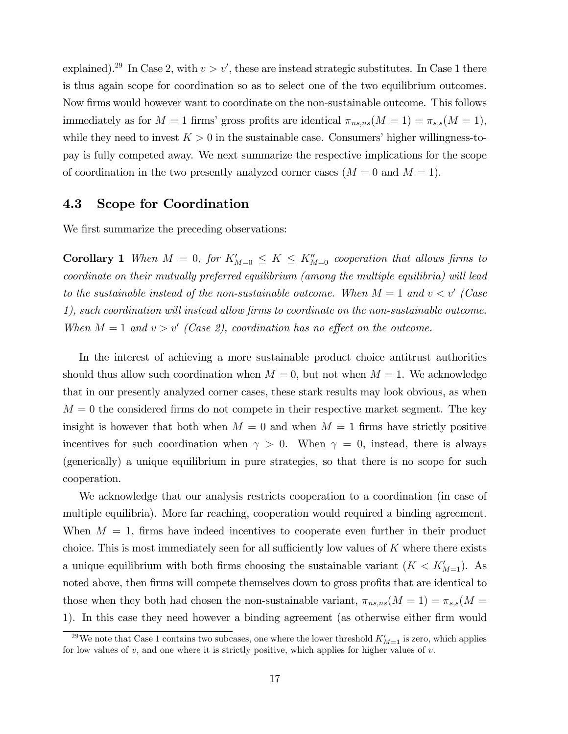explained).<sup>29</sup> In Case 2, with  $v > v'$ , these are instead strategic substitutes. In Case 1 there is thus again scope for coordination so as to select one of the two equilibrium outcomes. Now firms would however want to coordinate on the non-sustainable outcome. This follows immediately as for  $M = 1$  firms' gross profits are identical  $\pi_{ns,ns}(M = 1) = \pi_{s,s}(M = 1)$ , while they need to invest  $K > 0$  in the sustainable case. Consumers' higher willingness-topay is fully competed away. We next summarize the respective implications for the scope of coordination in the two presently analyzed corner cases  $(M = 0 \text{ and } M = 1)$ .

#### 4.3 Scope for Coordination

We first summarize the preceding observations:

**Corollary 1** When  $M = 0$ , for  $K'_{M=0} \leq K \leq K''_{M=0}$  cooperation that allows firms to coordinate on their mutually preferred equilibrium (among the multiple equilibria) will lead to the sustainable instead of the non-sustainable outcome. When  $M = 1$  and  $v < v'$  (Case 1), such coordination will instead allow firms to coordinate on the non-sustainable outcome. When  $M = 1$  and  $v > v'$  (Case 2), coordination has no effect on the outcome.

In the interest of achieving a more sustainable product choice antitrust authorities should thus allow such coordination when  $M = 0$ , but not when  $M = 1$ . We acknowledge that in our presently analyzed corner cases, these stark results may look obvious, as when  $M = 0$  the considered firms do not compete in their respective market segment. The key insight is however that both when  $M = 0$  and when  $M = 1$  firms have strictly positive incentives for such coordination when  $\gamma > 0$ . When  $\gamma = 0$ , instead, there is always (generically) a unique equilibrium in pure strategies, so that there is no scope for such cooperation.

We acknowledge that our analysis restricts cooperation to a coordination (in case of multiple equilibria). More far reaching, cooperation would required a binding agreement. When  $M = 1$ , firms have indeed incentives to cooperate even further in their product choice. This is most immediately seen for all sufficiently low values of  $K$  where there exists a unique equilibrium with both firms choosing the sustainable variant  $(K < K'_{M=1})$ . As noted above, then firms will compete themselves down to gross profits that are identical to those when they both had chosen the non-sustainable variant,  $\pi_{ns,ns}(M = 1) = \pi_{s,s}(M = 1)$ 1). In this case they need however a binding agreement (as otherwise either firm would

<sup>&</sup>lt;sup>29</sup>We note that Case 1 contains two subcases, one where the lower threshold  $K'_{M=1}$  is zero, which applies for low values of  $v$ , and one where it is strictly positive, which applies for higher values of  $v$ .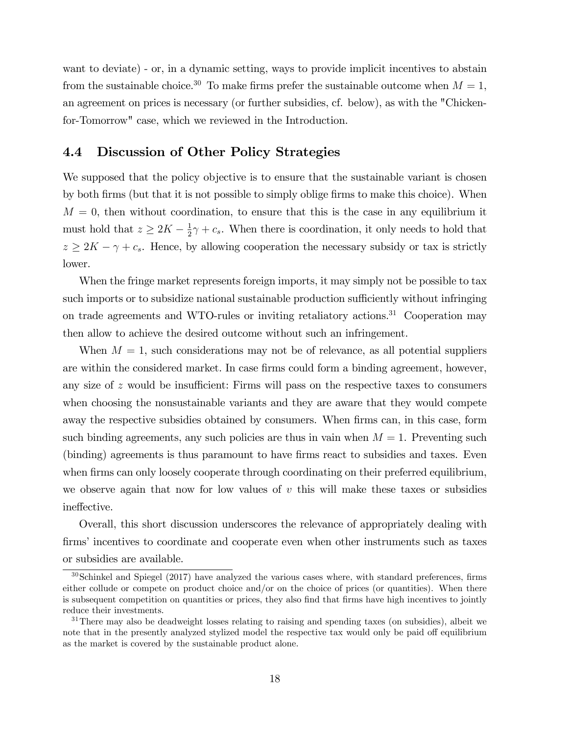want to deviate) - or, in a dynamic setting, ways to provide implicit incentives to abstain from the sustainable choice.<sup>30</sup> To make firms prefer the sustainable outcome when  $M = 1$ , an agreement on prices is necessary (or further subsidies, cf. below), as with the "Chickenfor-Tomorrow" case, which we reviewed in the Introduction.

#### 4.4 Discussion of Other Policy Strategies

We supposed that the policy objective is to ensure that the sustainable variant is chosen by both firms (but that it is not possible to simply oblige firms to make this choice). When  $M = 0$ , then without coordination, to ensure that this is the case in any equilibrium it must hold that  $z \geq 2K - \frac{1}{2}$  $\frac{1}{2}\gamma + c_s$ . When there is coordination, it only needs to hold that  $z \geq 2K - \gamma + c_s$ . Hence, by allowing cooperation the necessary subsidy or tax is strictly lower.

When the fringe market represents foreign imports, it may simply not be possible to tax such imports or to subsidize national sustainable production sufficiently without infringing on trade agreements and WTO-rules or inviting retaliatory actions.<sup>31</sup> Cooperation may then allow to achieve the desired outcome without such an infringement.

When  $M = 1$ , such considerations may not be of relevance, as all potential suppliers are within the considered market. In case firms could form a binding agreement, however, any size of  $z$  would be insufficient: Firms will pass on the respective taxes to consumers when choosing the nonsustainable variants and they are aware that they would compete away the respective subsidies obtained by consumers. When firms can, in this case, form such binding agreements, any such policies are thus in vain when  $M = 1$ . Preventing such (binding) agreements is thus paramount to have firms react to subsidies and taxes. Even when firms can only loosely cooperate through coordinating on their preferred equilibrium, we observe again that now for low values of  $v$  this will make these taxes or subsidies ineffective.

Overall, this short discussion underscores the relevance of appropriately dealing with firms' incentives to coordinate and cooperate even when other instruments such as taxes or subsidies are available.

 $30$ Schinkel and Spiegel (2017) have analyzed the various cases where, with standard preferences, firms either collude or compete on product choice and/or on the choice of prices (or quantities). When there is subsequent competition on quantities or prices, they also find that firms have high incentives to jointly reduce their investments.

 $31$ There may also be deadweight losses relating to raising and spending taxes (on subsidies), albeit we note that in the presently analyzed stylized model the respective tax would only be paid of equilibrium as the market is covered by the sustainable product alone.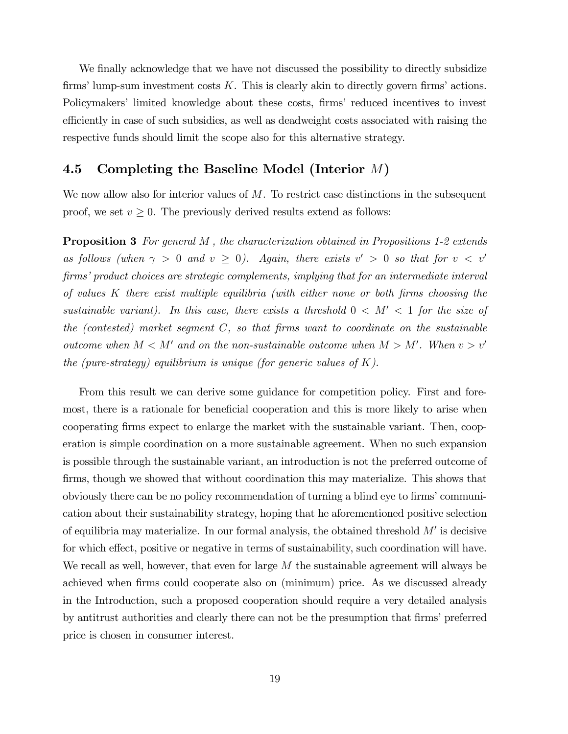We finally acknowledge that we have not discussed the possibility to directly subsidize firms' lump-sum investment costs  $K$ . This is clearly akin to directly govern firms' actions. Policymakers' limited knowledge about these costs, firms' reduced incentives to invest efficiently in case of such subsidies, as well as deadweight costs associated with raising the respective funds should limit the scope also for this alternative strategy.

#### 4.5 Completing the Baseline Model (Interior  $M$ )

We now allow also for interior values of  $M$ . To restrict case distinctions in the subsequent proof, we set  $v \geq 0$ . The previously derived results extend as follows:

**Proposition 3** For general M, the characterization obtained in Propositions 1-2 extends as follows (when  $\gamma > 0$  and  $v \ge 0$ ). Again, there exists  $v' > 0$  so that for  $v < v'$ firms' product choices are strategic complements, implying that for an intermediate interval of values  $K$  there exist multiple equilibria (with either none or both firms choosing the sustainable variant). In this case, there exists a threshold  $0 < M' < 1$  for the size of the (contested) market segment  $C$ , so that firms want to coordinate on the sustainable outcome when  $M < M'$  and on the non-sustainable outcome when  $M > M'$ . When  $v > v'$ the (pure-strategy) equilibrium is unique (for generic values of  $K$ ).

From this result we can derive some guidance for competition policy. First and foremost, there is a rationale for beneficial cooperation and this is more likely to arise when cooperating firms expect to enlarge the market with the sustainable variant. Then, cooperation is simple coordination on a more sustainable agreement. When no such expansion is possible through the sustainable variant, an introduction is not the preferred outcome of firms, though we showed that without coordination this may materialize. This shows that obviously there can be no policy recommendation of turning a blind eye to firms' communication about their sustainability strategy, hoping that he aforementioned positive selection of equilibria may materialize. In our formal analysis, the obtained threshold  $M'$  is decisive for which effect, positive or negative in terms of sustainability, such coordination will have. We recall as well, however, that even for large  $M$  the sustainable agreement will always be achieved when firms could cooperate also on (minimum) price. As we discussed already in the Introduction, such a proposed cooperation should require a very detailed analysis by antitrust authorities and clearly there can not be the presumption that firms' preferred price is chosen in consumer interest.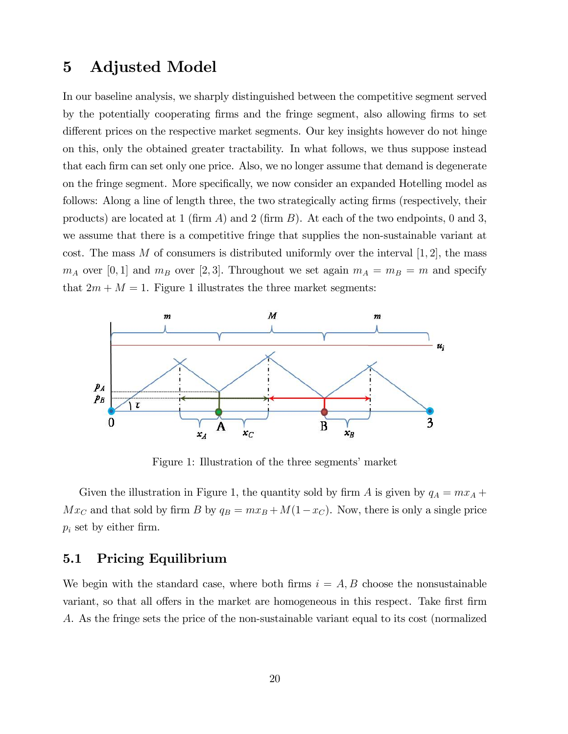### 5 Adjusted Model

In our baseline analysis, we sharply distinguished between the competitive segment served by the potentially cooperating firms and the fringe segment, also allowing firms to set different prices on the respective market segments. Our key insights however do not hinge on this, only the obtained greater tractability. In what follows, we thus suppose instead that each firm can set only one price. Also, we no longer assume that demand is degenerate on the fringe segment. More specifically, we now consider an expanded Hotelling model as follows: Along a line of length three, the two strategically acting firms (respectively, their products) are located at 1 (firm A) and 2 (firm B). At each of the two endpoints, 0 and 3, we assume that there is a competitive fringe that supplies the non-sustainable variant at cost. The mass M of consumers is distributed uniformly over the interval  $[1, 2]$ , the mass  $m_A$  over [0, 1] and  $m_B$  over [2, 3]. Throughout we set again  $m_A = m_B = m$  and specify that  $2m + M = 1$ . Figure 1 illustrates the three market segments:



Figure 1: Illustration of the three segments' market

Given the illustration in Figure 1, the quantity sold by firm A is given by  $q_A = mx_A +$  $Mx_C$  and that sold by firm B by  $q_B = mx_B + M(1-x_C)$ . Now, there is only a single price  $p_i$  set by either firm.

#### 5.1 Pricing Equilibrium

We begin with the standard case, where both firms  $i = A, B$  choose the nonsustainable variant, so that all offers in the market are homogeneous in this respect. Take first firm A. As the fringe sets the price of the non-sustainable variant equal to its cost (normalized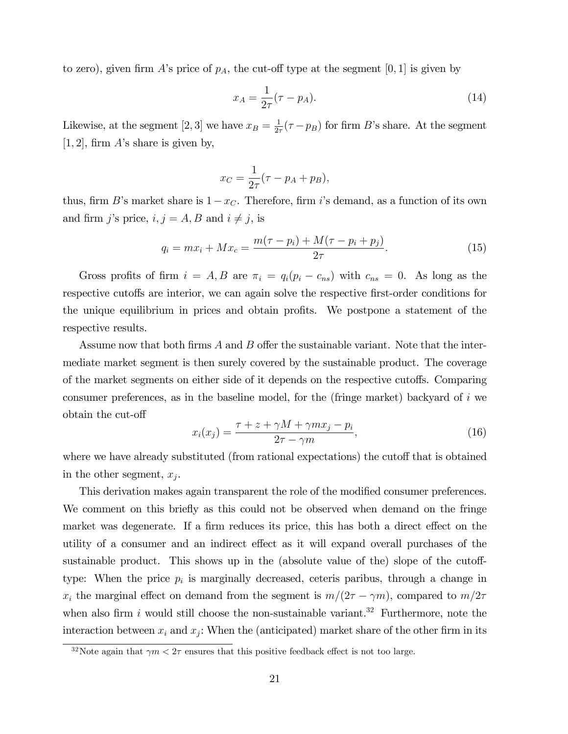to zero), given firm A's price of  $p_A$ , the cut-off type at the segment [0, 1] is given by

$$
x_A = \frac{1}{2\tau}(\tau - p_A). \tag{14}
$$

Likewise, at the segment [2, 3] we have  $x_B = \frac{1}{2i}$  $\frac{1}{2\tau}(\tau - p_B)$  for firm B's share. At the segment  $[1, 2]$ , firm A's share is given by,

$$
x_C = \frac{1}{2\tau}(\tau - p_A + p_B),
$$

thus, firm B's market share is  $1 - x_C$ . Therefore, firm i's demand, as a function of its own and firm j's price,  $i, j = A, B$  and  $i \neq j$ , is

$$
q_i = mx_i + Mx_c = \frac{m(\tau - p_i) + M(\tau - p_i + p_j)}{2\tau}.
$$
\n(15)

Gross profits of firm  $i = A, B$  are  $\pi_i = q_i(p_i - c_{ns})$  with  $c_{ns} = 0$ . As long as the respective cutoffs are interior, we can again solve the respective first-order conditions for the unique equilibrium in prices and obtain profits. We postpone a statement of the respective results.

Assume now that both firms  $A$  and  $B$  offer the sustainable variant. Note that the intermediate market segment is then surely covered by the sustainable product. The coverage of the market segments on either side of it depends on the respective cutoffs. Comparing consumer preferences, as in the baseline model, for the (fringe market) backyard of  $i$  we obtain the cut-off

$$
x_i(x_j) = \frac{\tau + z + \gamma M + \gamma m x_j - p_i}{2\tau - \gamma m},\tag{16}
$$

where we have already substituted (from rational expectations) the cutoff that is obtained in the other segment,  $x_j$ .

This derivation makes again transparent the role of the modified consumer preferences. We comment on this briefly as this could not be observed when demand on the fringe market was degenerate. If a firm reduces its price, this has both a direct effect on the utility of a consumer and an indirect effect as it will expand overall purchases of the sustainable product. This shows up in the (absolute value of the) slope of the cutofftype: When the price  $p_i$  is marginally decreased, ceteris paribus, through a change in  $x_i$  the marginal effect on demand from the segment is  $m/(2\tau-\gamma m)$ , compared to  $m/2\tau$ when also firm i would still choose the non-sustainable variant.<sup>32</sup> Furthermore, note the interaction between  $x_i$  and  $x_j$ : When the (anticipated) market share of the other firm in its

<sup>&</sup>lt;sup>32</sup>Note again that  $\gamma m < 2\tau$  ensures that this positive feedback effect is not too large.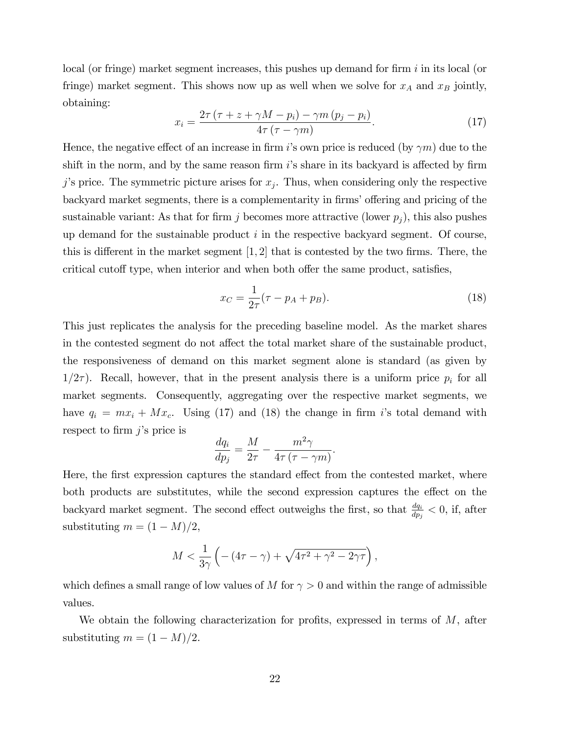local (or fringe) market segment increases, this pushes up demand for firm  $i$  in its local (or fringe) market segment. This shows now up as well when we solve for  $x_A$  and  $x_B$  jointly, obtaining:

$$
x_i = \frac{2\tau\left(\tau + z + \gamma M - p_i\right) - \gamma m\left(p_j - p_i\right)}{4\tau\left(\tau - \gamma m\right)}.\tag{17}
$$

Hence, the negative effect of an increase in firm is own price is reduced (by  $\gamma m$ ) due to the shift in the norm, and by the same reason firm  $i$ 's share in its backyard is affected by firm j's price. The symmetric picture arises for  $x_j$ . Thus, when considering only the respective backyard market segments, there is a complementarity in firms' offering and pricing of the sustainable variant: As that for firm j becomes more attractive (lower  $p_j$ ), this also pushes up demand for the sustainable product  $i$  in the respective backyard segment. Of course, this is different in the market segment  $[1, 2]$  that is contested by the two firms. There, the critical cutoff type, when interior and when both offer the same product, satisfies,

$$
x_C = \frac{1}{2\tau} (\tau - p_A + p_B). \tag{18}
$$

This just replicates the analysis for the preceding baseline model. As the market shares in the contested segment do not affect the total market share of the sustainable product, the responsiveness of demand on this market segment alone is standard (as given by  $1/2\tau$ ). Recall, however, that in the present analysis there is a uniform price  $p_i$  for all market segments. Consequently, aggregating over the respective market segments, we have  $q_i = mx_i + Mx_c$ . Using (17) and (18) the change in firm is total demand with respect to firm  $j$ 's price is

$$
\frac{dq_i}{dp_j} = \frac{M}{2\tau} - \frac{m^2\gamma}{4\tau(\tau - \gamma m)}.
$$

Here, the first expression captures the standard effect from the contested market, where both products are substitutes, while the second expression captures the effect on the backyard market segment. The second effect outweighs the first, so that  $\frac{dq_i}{dp_j} < 0$ , if, after substituting  $m = (1 - M)/2$ ,

$$
M < \frac{1}{3\gamma} \left( -\left( 4\tau - \gamma \right) + \sqrt{4\tau^2 + \gamma^2 - 2\gamma\tau} \right),
$$

which defines a small range of low values of M for  $\gamma > 0$  and within the range of admissible values.

We obtain the following characterization for profits, expressed in terms of  $M$ , after substituting  $m = (1 - M)/2$ .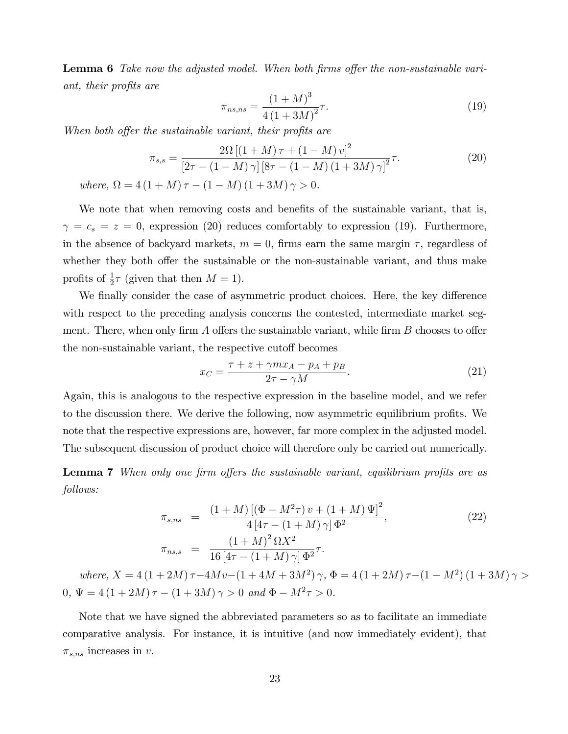**Lemma 6** Take now the adjusted model. When both firms offer the non-sustainable variant, their profits are

$$
\pi_{ns,ns} = \frac{(1+M)^3}{4(1+3M)^2} \tau.
$$
\n(19)

When both offer the sustainable variant, their profits are

$$
\pi_{s,s} = \frac{2\Omega \left[ (1+M)\,\tau + (1-M)\,v \right]^2}{\left[ 2\tau - (1-M)\,\gamma \right] \left[ 8\tau - (1-M)\,(1+3M)\,\gamma \right]^2} \tau. \tag{20}
$$

where,  $\Omega = 4(1 + M)\tau - (1 - M)(1 + 3M)\gamma > 0.$ 

We note that when removing costs and benefits of the sustainable variant, that is,  $\gamma = c_s = z = 0$ , expression (20) reduces comfortably to expression (19). Furthermore, in the absence of backyard markets,  $m = 0$ , firms earn the same margin  $\tau$ , regardless of whether they both offer the sustainable or the non-sustainable variant, and thus make profits of  $\frac{1}{2}\tau$  (given that then  $M = 1$ ).

We finally consider the case of asymmetric product choices. Here, the key difference with respect to the preceding analysis concerns the contested, intermediate market segment. There, when only firm A offers the sustainable variant, while firm  $B$  chooses to offer the non-sustainable variant, the respective cutoff becomes

$$
x_C = \frac{\tau + z + \gamma m x_A - p_A + p_B}{2\tau - \gamma M}.\tag{21}
$$

Again, this is analogous to the respective expression in the baseline model, and we refer to the discussion there. We derive the following, now asymmetric equilibrium profits. We note that the respective expressions are, however, far more complex in the adjusted model. The subsequent discussion of product choice will therefore only be carried out numerically.

**Lemma 7** When only one firm offers the sustainable variant, equilibrium profits are as follows:

$$
\pi_{s,ns} = \frac{(1+M) [(\Phi - M^2 \tau) v + (1+M) \Psi]^2}{4 [4\tau - (1+M)\gamma] \Phi^2},
$$
\n
$$
\pi_{ns,s} = \frac{(1+M)^2 \Omega X^2}{16 [4\tau - (1+M)\gamma] \Phi^2} \tau.
$$
\n(22)

where,  $X = 4(1 + 2M)\tau - 4Mv - (1 + 4M + 3M^2)\gamma$ ,  $\Phi = 4(1 + 2M)\tau - (1 - M^2)(1 + 3M)\gamma >$  $0, \Psi = 4(1+2M)\tau - (1+3M)\gamma > 0$  and  $\Phi - M^2\tau > 0$ .

Note that we have signed the abbreviated parameters so as to facilitate an immediate comparative analysis. For instance, it is intuitive (and now immediately evident), that  $\pi_{s,ns}$  increases in v.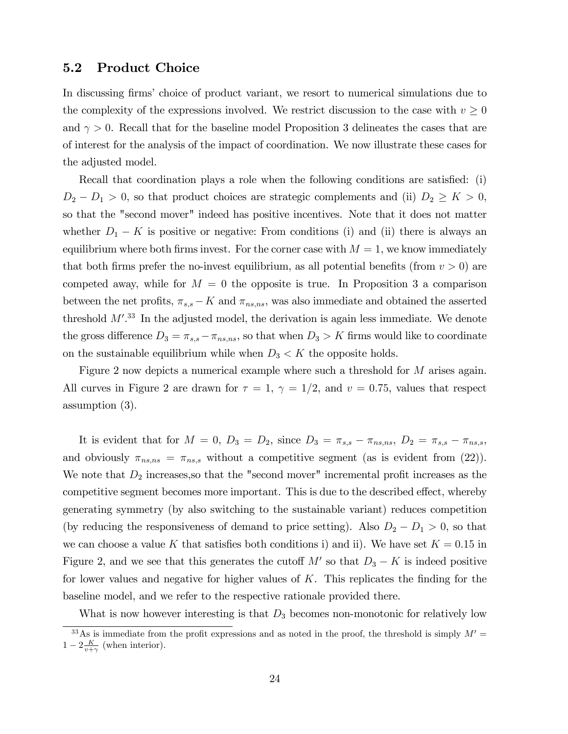#### 5.2 Product Choice

In discussing firms' choice of product variant, we resort to numerical simulations due to the complexity of the expressions involved. We restrict discussion to the case with  $v \geq 0$ and  $\gamma > 0$ . Recall that for the baseline model Proposition 3 delineates the cases that are of interest for the analysis of the impact of coordination. We now illustrate these cases for the adjusted model.

Recall that coordination plays a role when the following conditions are satisfied: (i)  $D_2 - D_1 > 0$ , so that product choices are strategic complements and (ii)  $D_2 \geq K > 0$ , so that the "second mover" indeed has positive incentives. Note that it does not matter whether  $D_1 - K$  is positive or negative: From conditions (i) and (ii) there is always an equilibrium where both firms invest. For the corner case with  $M = 1$ , we know immediately that both firms prefer the no-invest equilibrium, as all potential benefits (from  $v > 0$ ) are competed away, while for  $M = 0$  the opposite is true. In Proposition 3 a comparison between the net profits,  $\pi_{s,s} - K$  and  $\pi_{ns,ns}$ , was also immediate and obtained the asserted threshold  $M^{\prime}$ .<sup>33</sup> In the adjusted model, the derivation is again less immediate. We denote the gross difference  $D_3 = \pi_{s,s} - \pi_{ns,ns}$ , so that when  $D_3 > K$  firms would like to coordinate on the sustainable equilibrium while when  $D_3 < K$  the opposite holds.

Figure 2 now depicts a numerical example where such a threshold for M arises again. All curves in Figure 2 are drawn for  $\tau = 1$ ,  $\gamma = 1/2$ , and  $v = 0.75$ , values that respect assumption (3).

It is evident that for  $M = 0, D_3 = D_2$ , since  $D_3 = \pi_{s,s} - \pi_{ns,ns}, D_2 = \pi_{s,s} - \pi_{ns,s}$ , and obviously  $\pi_{ns,ns} = \pi_{ns,s}$  without a competitive segment (as is evident from (22)). We note that  $D_2$  increases, so that the "second mover" incremental profit increases as the competitive segment becomes more important. This is due to the described effect, whereby generating symmetry (by also switching to the sustainable variant) reduces competition (by reducing the responsiveness of demand to price setting). Also  $D_2 - D_1 > 0$ , so that we can choose a value K that satisfies both conditions i) and ii). We have set  $K = 0.15$  in Figure 2, and we see that this generates the cutoff  $M'$  so that  $D_3 - K$  is indeed positive for lower values and negative for higher values of  $K$ . This replicates the finding for the baseline model, and we refer to the respective rationale provided there.

What is now however interesting is that  $D_3$  becomes non-monotonic for relatively low

<sup>&</sup>lt;sup>33</sup>As is immediate from the profit expressions and as noted in the proof, the threshold is simply  $M' =$  $1 - 2\frac{K}{v+\gamma}$  (when interior).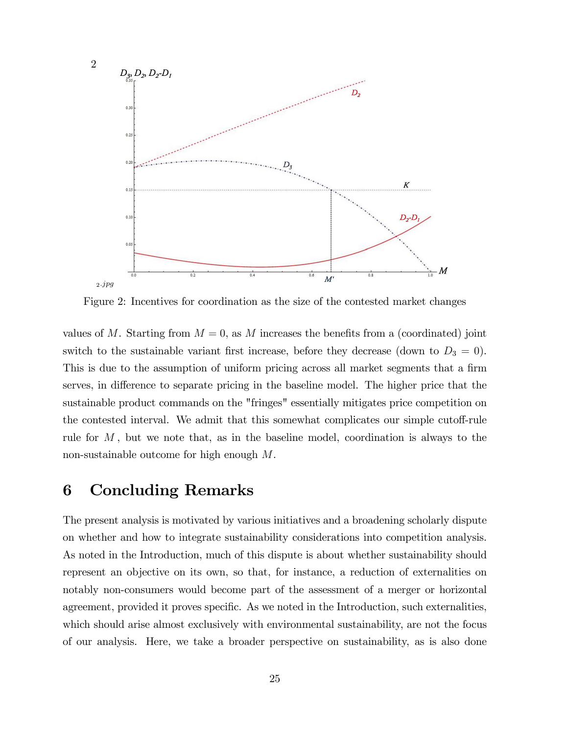

Figure 2: Incentives for coordination as the size of the contested market changes

values of M. Starting from  $M = 0$ , as M increases the benefits from a (coordinated) joint switch to the sustainable variant first increase, before they decrease (down to  $D_3 = 0$ ). This is due to the assumption of uniform pricing across all market segments that a firm serves, in difference to separate pricing in the baseline model. The higher price that the sustainable product commands on the "fringes" essentially mitigates price competition on the contested interval. We admit that this somewhat complicates our simple cutoff-rule rule for  $M$ , but we note that, as in the baseline model, coordination is always to the non-sustainable outcome for high enough M.

### 6 Concluding Remarks

The present analysis is motivated by various initiatives and a broadening scholarly dispute on whether and how to integrate sustainability considerations into competition analysis. As noted in the Introduction, much of this dispute is about whether sustainability should represent an objective on its own, so that, for instance, a reduction of externalities on notably non-consumers would become part of the assessment of a merger or horizontal agreement, provided it proves specific. As we noted in the Introduction, such externalities, which should arise almost exclusively with environmental sustainability, are not the focus of our analysis. Here, we take a broader perspective on sustainability, as is also done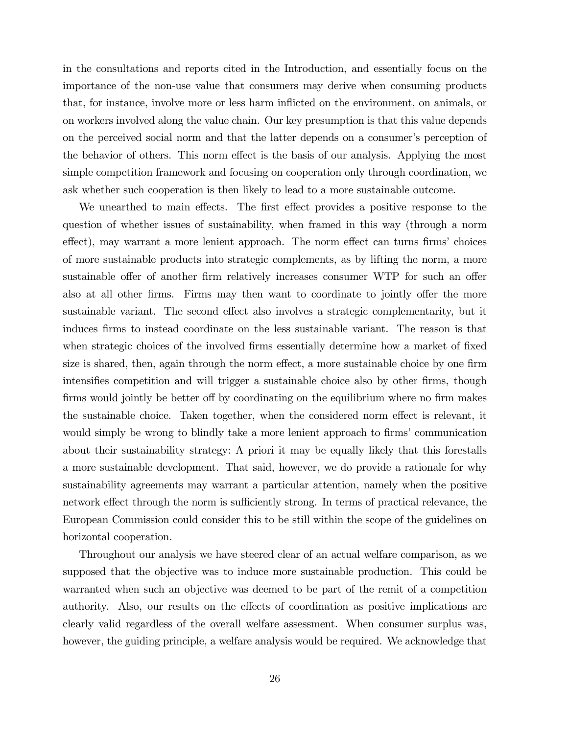in the consultations and reports cited in the Introduction, and essentially focus on the importance of the non-use value that consumers may derive when consuming products that, for instance, involve more or less harm ináicted on the environment, on animals, or on workers involved along the value chain. Our key presumption is that this value depends on the perceived social norm and that the latter depends on a consumer's perception of the behavior of others. This norm effect is the basis of our analysis. Applying the most simple competition framework and focusing on cooperation only through coordination, we ask whether such cooperation is then likely to lead to a more sustainable outcome.

We unearthed to main effects. The first effect provides a positive response to the question of whether issues of sustainability, when framed in this way (through a norm effect), may warrant a more lenient approach. The norm effect can turns firms' choices of more sustainable products into strategic complements, as by lifting the norm, a more sustainable offer of another firm relatively increases consumer WTP for such an offer also at all other firms. Firms may then want to coordinate to jointly offer the more sustainable variant. The second effect also involves a strategic complementarity, but it induces firms to instead coordinate on the less sustainable variant. The reason is that when strategic choices of the involved firms essentially determine how a market of fixed size is shared, then, again through the norm effect, a more sustainable choice by one firm intensifies competition and will trigger a sustainable choice also by other firms, though firms would jointly be better of by coordinating on the equilibrium where no firm makes the sustainable choice. Taken together, when the considered norm effect is relevant, it would simply be wrong to blindly take a more lenient approach to firms' communication about their sustainability strategy: A priori it may be equally likely that this forestalls a more sustainable development. That said, however, we do provide a rationale for why sustainability agreements may warrant a particular attention, namely when the positive network effect through the norm is sufficiently strong. In terms of practical relevance, the European Commission could consider this to be still within the scope of the guidelines on horizontal cooperation.

Throughout our analysis we have steered clear of an actual welfare comparison, as we supposed that the objective was to induce more sustainable production. This could be warranted when such an objective was deemed to be part of the remit of a competition authority. Also, our results on the effects of coordination as positive implications are clearly valid regardless of the overall welfare assessment. When consumer surplus was, however, the guiding principle, a welfare analysis would be required. We acknowledge that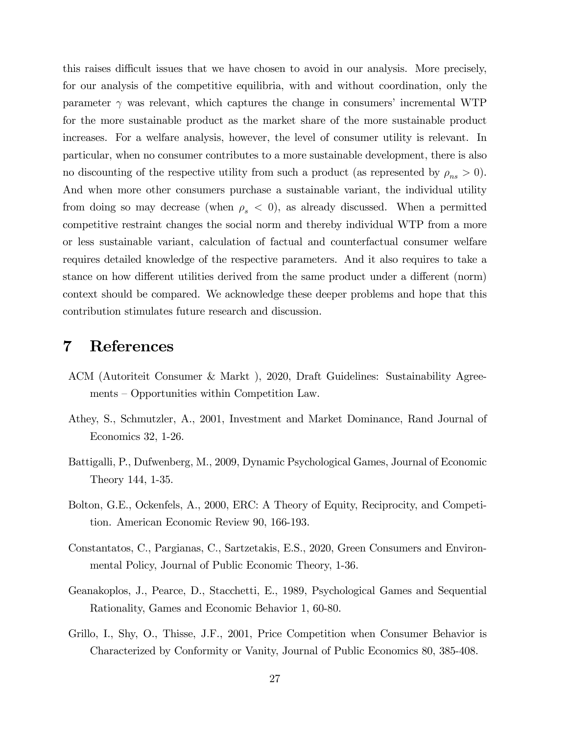this raises difficult issues that we have chosen to avoid in our analysis. More precisely, for our analysis of the competitive equilibria, with and without coordination, only the parameter  $\gamma$  was relevant, which captures the change in consumers' incremental WTP for the more sustainable product as the market share of the more sustainable product increases. For a welfare analysis, however, the level of consumer utility is relevant. In particular, when no consumer contributes to a more sustainable development, there is also no discounting of the respective utility from such a product (as represented by  $\rho_{ns} > 0$ ). And when more other consumers purchase a sustainable variant, the individual utility from doing so may decrease (when  $\rho_s < 0$ ), as already discussed. When a permitted competitive restraint changes the social norm and thereby individual WTP from a more or less sustainable variant, calculation of factual and counterfactual consumer welfare requires detailed knowledge of the respective parameters. And it also requires to take a stance on how different utilities derived from the same product under a different (norm) context should be compared. We acknowledge these deeper problems and hope that this contribution stimulates future research and discussion.

### 7 References

- ACM (Autoriteit Consumer & Markt ), 2020, Draft Guidelines: Sustainability Agree $ments -Opport$ unities within Competition Law.
- Athey, S., Schmutzler, A., 2001, Investment and Market Dominance, Rand Journal of Economics 32, 1-26.
- Battigalli, P., Dufwenberg, M., 2009, Dynamic Psychological Games, Journal of Economic Theory 144, 1-35.
- Bolton, G.E., Ockenfels, A., 2000, ERC: A Theory of Equity, Reciprocity, and Competition. American Economic Review 90, 166-193.
- Constantatos, C., Pargianas, C., Sartzetakis, E.S., 2020, Green Consumers and Environmental Policy, Journal of Public Economic Theory, 1-36.
- Geanakoplos, J., Pearce, D., Stacchetti, E., 1989, Psychological Games and Sequential Rationality, Games and Economic Behavior 1, 60-80.
- Grillo, I., Shy, O., Thisse, J.F., 2001, Price Competition when Consumer Behavior is Characterized by Conformity or Vanity, Journal of Public Economics 80, 385-408.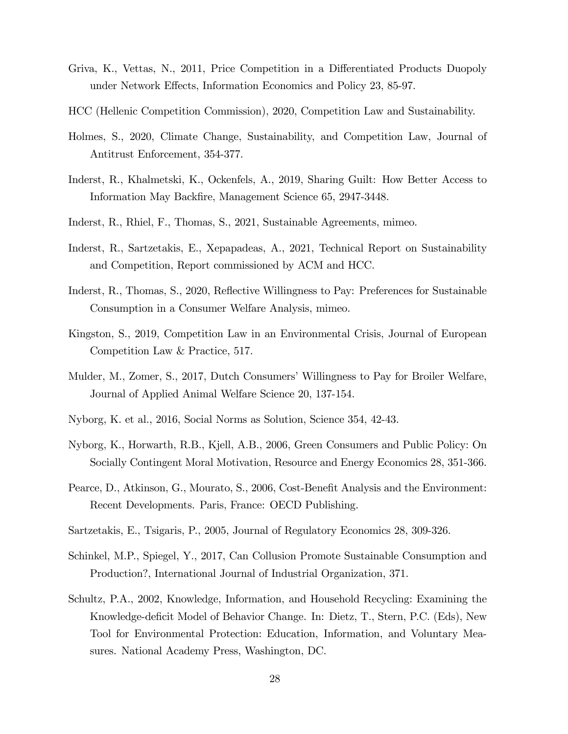- Griva, K., Vettas, N., 2011, Price Competition in a Differentiated Products Duopoly under Network Effects, Information Economics and Policy 23, 85-97.
- HCC (Hellenic Competition Commission), 2020, Competition Law and Sustainability.
- Holmes, S., 2020, Climate Change, Sustainability, and Competition Law, Journal of Antitrust Enforcement, 354-377.
- Inderst, R., Khalmetski, K., Ockenfels, A., 2019, Sharing Guilt: How Better Access to Information May Backfire, Management Science 65, 2947-3448.
- Inderst, R., Rhiel, F., Thomas, S., 2021, Sustainable Agreements, mimeo.
- Inderst, R., Sartzetakis, E., Xepapadeas, A., 2021, Technical Report on Sustainability and Competition, Report commissioned by ACM and HCC.
- Inderst, R., Thomas, S., 2020, Reflective Willingness to Pay: Preferences for Sustainable Consumption in a Consumer Welfare Analysis, mimeo.
- Kingston, S., 2019, Competition Law in an Environmental Crisis, Journal of European Competition Law & Practice, 517.
- Mulder, M., Zomer, S., 2017, Dutch Consumers' Willingness to Pay for Broiler Welfare, Journal of Applied Animal Welfare Science 20, 137-154.
- Nyborg, K. et al., 2016, Social Norms as Solution, Science 354, 42-43.
- Nyborg, K., Horwarth, R.B., Kjell, A.B., 2006, Green Consumers and Public Policy: On Socially Contingent Moral Motivation, Resource and Energy Economics 28, 351-366.
- Pearce, D., Atkinson, G., Mourato, S., 2006, Cost-Benefit Analysis and the Environment: Recent Developments. Paris, France: OECD Publishing.
- Sartzetakis, E., Tsigaris, P., 2005, Journal of Regulatory Economics 28, 309-326.
- Schinkel, M.P., Spiegel, Y., 2017, Can Collusion Promote Sustainable Consumption and Production?, International Journal of Industrial Organization, 371.
- Schultz, P.A., 2002, Knowledge, Information, and Household Recycling: Examining the Knowledge-deficit Model of Behavior Change. In: Dietz, T., Stern, P.C. (Eds), New Tool for Environmental Protection: Education, Information, and Voluntary Measures. National Academy Press, Washington, DC.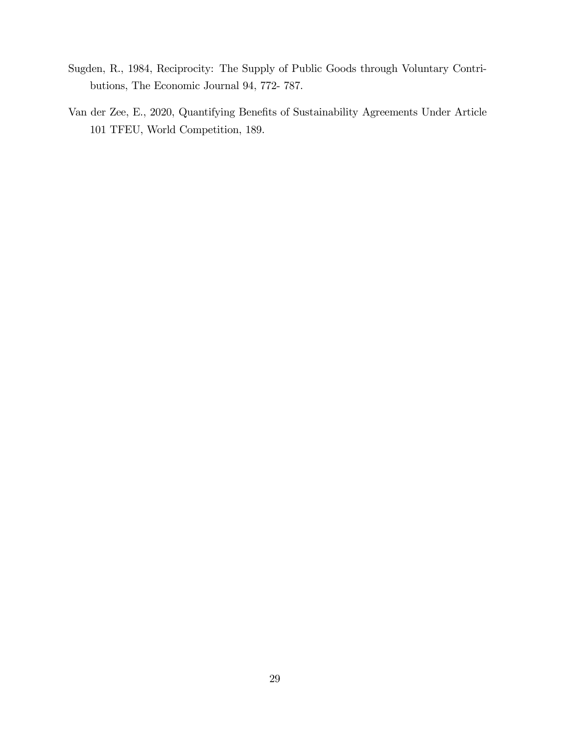- Sugden, R., 1984, Reciprocity: The Supply of Public Goods through Voluntary Contributions, The Economic Journal 94, 772- 787.
- Van der Zee, E., 2020, Quantifying Benefits of Sustainability Agreements Under Article 101 TFEU, World Competition, 189.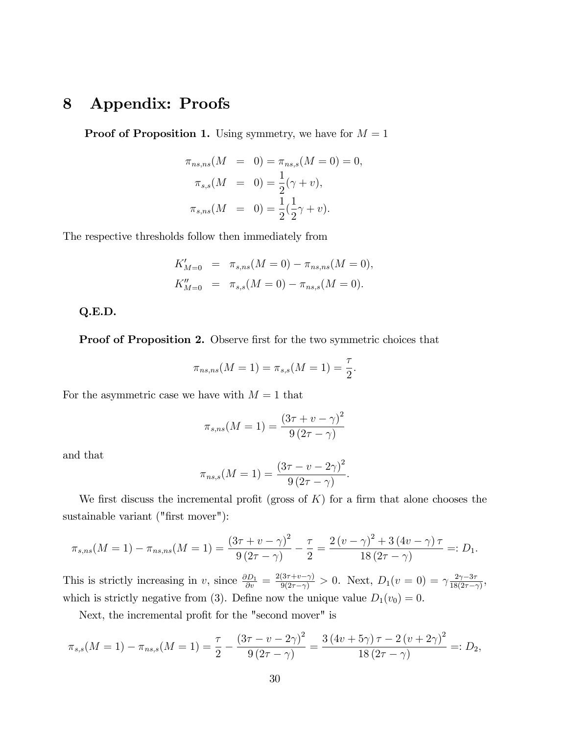## 8 Appendix: Proofs

**Proof of Proposition 1.** Using symmetry, we have for  $M = 1$ 

$$
\pi_{ns,ns}(M = 0) = \pi_{ns,s}(M = 0) = 0,
$$
  
\n
$$
\pi_{s,s}(M = 0) = \frac{1}{2}(\gamma + v),
$$
  
\n
$$
\pi_{s,ns}(M = 0) = \frac{1}{2}(\frac{1}{2}\gamma + v).
$$

The respective thresholds follow then immediately from

$$
K'_{M=0} = \pi_{s,ns}(M=0) - \pi_{ns,ns}(M=0),
$$
  
\n
$$
K''_{M=0} = \pi_{s,s}(M=0) - \pi_{ns,s}(M=0).
$$

Q.E.D.

**Proof of Proposition 2.** Observe first for the two symmetric choices that

$$
\pi_{ns,ns}(M=1) = \pi_{s,s}(M=1) = \frac{\tau}{2}.
$$

For the asymmetric case we have with  $M = 1$  that

$$
\pi_{s,ns}(M = 1) = \frac{(3\tau + v - \gamma)^2}{9(2\tau - \gamma)}
$$

and that

$$
\pi_{ns,s}(M = 1) = \frac{(3\tau - v - 2\gamma)^2}{9(2\tau - \gamma)}.
$$

We first discuss the incremental profit (gross of  $K$ ) for a firm that alone chooses the sustainable variant ("first mover"):

$$
\pi_{s,ns}(M=1) - \pi_{ns,ns}(M=1) = \frac{(3\tau + \nu - \gamma)^2}{9(2\tau - \gamma)} - \frac{\tau}{2} = \frac{2(\nu - \gamma)^2 + 3(4\nu - \gamma)\tau}{18(2\tau - \gamma)} =: D_1.
$$

This is strictly increasing in v, since  $\frac{\partial D_1}{\partial v} = \frac{2(3\tau + v - \gamma)}{9(2\tau - \gamma)} > 0$ . Next,  $D_1(v = 0) = \gamma \frac{2\gamma - 3\tau}{18(2\tau - \gamma)}$  $\frac{2\gamma - 3\tau}{18(2\tau - \gamma)},$ which is strictly negative from (3). Define now the unique value  $D_1(v_0) = 0$ .

Next, the incremental profit for the "second mover" is

$$
\pi_{s,s}(M=1) - \pi_{ns,s}(M=1) = \frac{\tau}{2} - \frac{(3\tau - \nu - 2\gamma)^2}{9(2\tau - \gamma)} = \frac{3(4\nu + 5\gamma)\tau - 2(\nu + 2\gamma)^2}{18(2\tau - \gamma)} =: D_2,
$$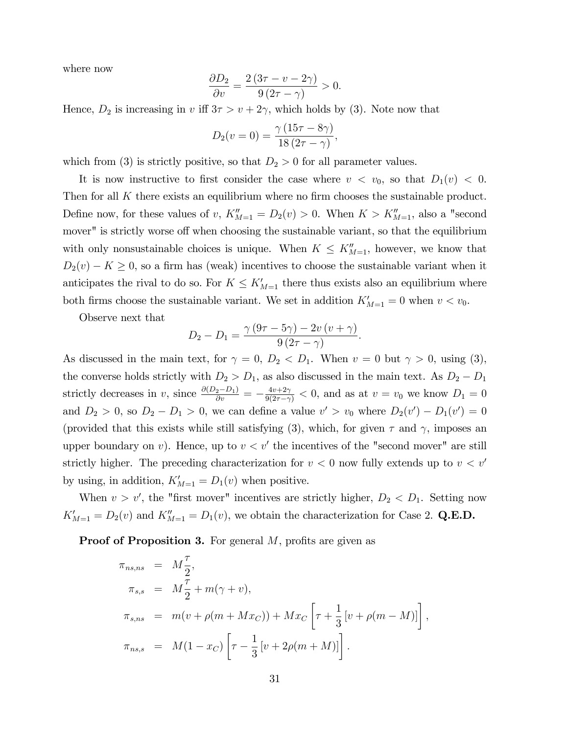where now

$$
\frac{\partial D_2}{\partial v} = \frac{2(3\tau - v - 2\gamma)}{9(2\tau - \gamma)} > 0.
$$

Hence,  $D_2$  is increasing in v iff  $3\tau > v + 2\gamma$ , which holds by (3). Note now that

$$
D_2(v=0) = \frac{\gamma (15\tau - 8\gamma)}{18(2\tau - \gamma)},
$$

which from (3) is strictly positive, so that  $D_2 > 0$  for all parameter values.

It is now instructive to first consider the case where  $v < v_0$ , so that  $D_1(v) < 0$ . Then for all  $K$  there exists an equilibrium where no firm chooses the sustainable product. Define now, for these values of v,  $K_{M=1}'' = D_2(v) > 0$ . When  $K > K_{M=1}''$ , also a "second mover" is strictly worse off when choosing the sustainable variant, so that the equilibrium with only nonsustainable choices is unique. When  $K \leq K''_{M=1}$ , however, we know that  $D_2(v) - K \geq 0$ , so a firm has (weak) incentives to choose the sustainable variant when it anticipates the rival to do so. For  $K \leq K'_{M=1}$  there thus exists also an equilibrium where both firms choose the sustainable variant. We set in addition  $K'_{M=1} = 0$  when  $v < v_0$ .

Observe next that

$$
D_2 - D_1 = \frac{\gamma (9\tau - 5\gamma) - 2v (v + \gamma)}{9 (2\tau - \gamma)}
$$

:

As discussed in the main text, for  $\gamma = 0$ ,  $D_2 < D_1$ . When  $v = 0$  but  $\gamma > 0$ , using (3), the converse holds strictly with  $D_2 > D_1$ , as also discussed in the main text. As  $D_2 - D_1$ strictly decreases in v, since  $\frac{\partial (D_2 - D_1)}{\partial v} = -\frac{4v+2\gamma}{9(2\tau - \gamma)} < 0$ , and as at  $v = v_0$  we know  $D_1 = 0$ and  $D_2 > 0$ , so  $D_2 - D_1 > 0$ , we can define a value  $v' > v_0$  where  $D_2(v') - D_1(v') = 0$ (provided that this exists while still satisfying (3), which, for given  $\tau$  and  $\gamma$ , imposes an upper boundary on v). Hence, up to  $v < v'$  the incentives of the "second mover" are still strictly higher. The preceding characterization for  $v < 0$  now fully extends up to  $v < v'$ by using, in addition,  $K'_{M=1} = D_1(v)$  when positive.

When  $v > v'$ , the "first mover" incentives are strictly higher,  $D_2 < D_1$ . Setting now  $K'_{M=1} = D_2(v)$  and  $K''_{M=1} = D_1(v)$ , we obtain the characterization for Case 2. Q.E.D.

**Proof of Proposition 3.** For general  $M$ , profits are given as

$$
\pi_{ns,ns} = M_{\frac{7}{2}},
$$
\n
$$
\pi_{s,s} = M_{\frac{7}{2}} + m(\gamma + v),
$$
\n
$$
\pi_{s,ns} = m(v + \rho(m + Mx_C)) + Mx_C \left[ \tau + \frac{1}{3} [v + \rho(m - M)] \right],
$$
\n
$$
\pi_{ns,s} = M(1 - x_C) \left[ \tau - \frac{1}{3} [v + 2\rho(m + M)] \right].
$$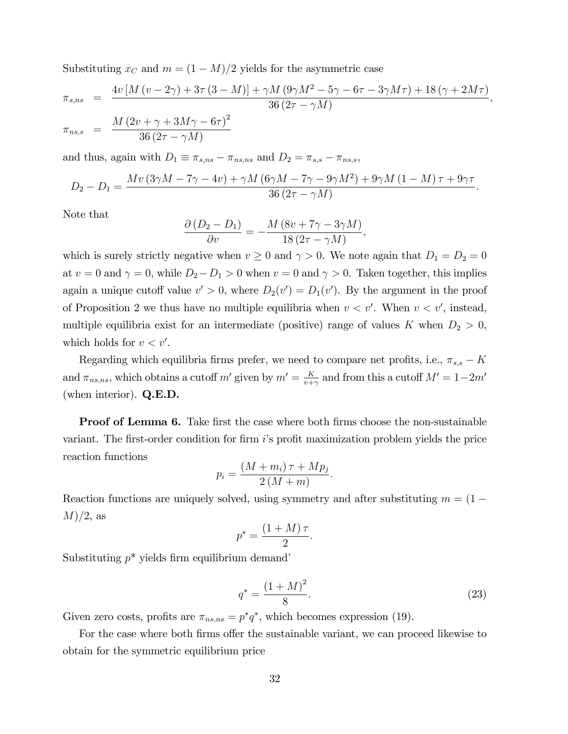Substituting  $x_C$  and  $m = (1 - M)/2$  yields for the asymmetric case

$$
\pi_{s,ns} = \frac{4v [M (v - 2\gamma) + 3\tau (3 - M)] + \gamma M (9\gamma M^2 - 5\gamma - 6\tau - 3\gamma M\tau) + 18 (\gamma + 2M\tau)}{36 (2\tau - \gamma M)},
$$
  

$$
\pi_{ns,s} = \frac{M (2v + \gamma + 3M\gamma - 6\tau)^2}{36 (2\tau - \gamma M)}
$$

and thus, again with  $D_1 \equiv \pi_{s,ns} - \pi_{ns,ns}$  and  $D_2 = \pi_{s,s} - \pi_{ns,s}$ ,

$$
D_2 - D_1 = \frac{Mv (3\gamma M - 7\gamma - 4v) + \gamma M (6\gamma M - 7\gamma - 9\gamma M^2) + 9\gamma M (1 - M)\tau + 9\gamma \tau}{36 (2\tau - \gamma M)}.
$$

Note that

$$
\frac{\partial (D_2 - D_1)}{\partial v} = -\frac{M (8v + 7\gamma - 3\gamma M)}{18 (2\tau - \gamma M)},
$$

which is surely strictly negative when  $v \ge 0$  and  $\gamma > 0$ . We note again that  $D_1 = D_2 = 0$ at  $v = 0$  and  $\gamma = 0$ , while  $D_2 - D_1 > 0$  when  $v = 0$  and  $\gamma > 0$ . Taken together, this implies again a unique cutoff value  $v' > 0$ , where  $D_2(v') = D_1(v')$ . By the argument in the proof of Proposition 2 we thus have no multiple equilibria when  $v < v'$ . When  $v < v'$ , instead, multiple equilibria exist for an intermediate (positive) range of values K when  $D_2 > 0$ , which holds for  $v < v'$ .

Regarding which equilibria firms prefer, we need to compare net profits, i.e.,  $\pi_{s,s} - K$ and  $\pi_{ns,ns}$ , which obtains a cutoff m' given by  $m' = \frac{K}{n+1}$  $\frac{K}{v+\gamma}$  and from this a cutoff  $M'=1-2m'$ (when interior). Q.E.D.

**Proof of Lemma 6.** Take first the case where both firms choose the non-sustainable variant. The first-order condition for firm  $i$ 's profit maximization problem yields the price reaction functions

$$
p_i = \frac{(M+m_i)\tau + Mp_j}{2\left(M+m\right)}
$$

Reaction functions are uniquely solved, using symmetry and after substituting  $m = (1 M/2$ , as

$$
p^* = \frac{(1+M)\,\tau}{2}.
$$

Substituting  $p^*$  yields firm equilibrium demand'

$$
q^* = \frac{(1+M)^2}{8}.\tag{23}
$$

:

Given zero costs, profits are  $\pi_{ns,ns} = p^*q^*$ , which becomes expression (19).

For the case where both firms offer the sustainable variant, we can proceed likewise to obtain for the symmetric equilibrium price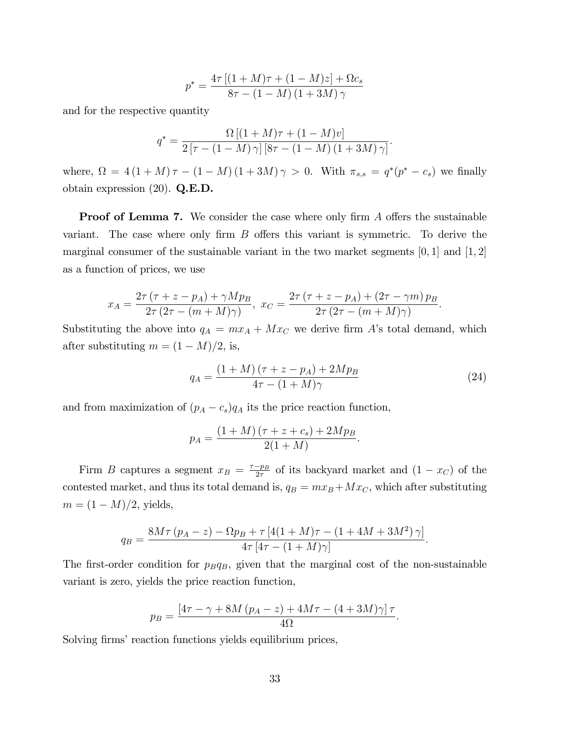$$
p^* = \frac{4\tau [(1 + M)\tau + (1 - M)z] + \Omega c_s}{8\tau - (1 - M)(1 + 3M)\gamma}
$$

and for the respective quantity

$$
q^* = \frac{\Omega\left[(1+M)\tau + (1-M)v\right]}{2\left[\tau - (1-M)\gamma\right]\left[8\tau - (1-M)(1+3M)\gamma\right]}.
$$

where,  $\Omega = 4(1+M)\tau - (1-M)(1+3M)\gamma > 0$ . With  $\pi_{s,s} = q^*(p^*-c_s)$  we finally obtain expression  $(20)$ . Q.E.D.

**Proof of Lemma 7.** We consider the case where only firm  $A$  offers the sustainable variant. The case where only firm  $B$  offers this variant is symmetric. To derive the marginal consumer of the sustainable variant in the two market segments  $[0,1]$  and  $[1,2]$ as a function of prices, we use

$$
x_A = \frac{2\tau (\tau + z - p_A) + \gamma M p_B}{2\tau (2\tau - (m + M)\gamma)}, \ x_C = \frac{2\tau (\tau + z - p_A) + (2\tau - \gamma m) p_B}{2\tau (2\tau - (m + M)\gamma)}.
$$

Substituting the above into  $q_A = mx_A + Mx_C$  we derive firm A's total demand, which after substituting  $m = (1 - M)/2$ , is,

$$
q_A = \frac{(1+M)(\tau + z - p_A) + 2Mp_B}{4\tau - (1+M)\gamma}
$$
 (24)

and from maximization of  $(p_A - c_s)q_A$  its the price reaction function,

$$
p_A = \frac{(1+M)(\tau + z + c_s) + 2Mp_B}{2(1+M)}.
$$

Firm B captures a segment  $x_B = \frac{\tau - p_B}{2\tau}$  of its backyard market and  $(1 - x_C)$  of the contested market, and thus its total demand is,  $q_B = mx_B + Mx_C$ , which after substituting  $m = (1 - M)/2$ , yields,

$$
q_B = \frac{8M\tau (p_A - z) - \Omega p_B + \tau [4(1 + M)\tau - (1 + 4M + 3M^2)\gamma]}{4\tau [4\tau - (1 + M)\gamma]}.
$$

The first-order condition for  $p_Bq_B$ , given that the marginal cost of the non-sustainable variant is zero, yields the price reaction function,

$$
p_B = \frac{[4\tau - \gamma + 8M(p_A - z) + 4M\tau - (4 + 3M)\gamma]\tau}{4\Omega}.
$$

Solving firms' reaction functions yields equilibrium prices,